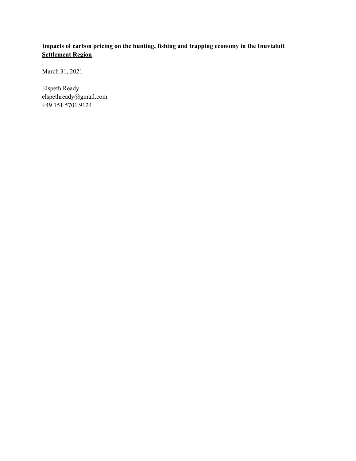# **Impacts of carbon pricing on the hunting, fishing and trapping economy in the Inuvialuit Settlement Region**

March 31, 2021

Elspeth Ready elspethready@gmail.com +49 151 5701 9124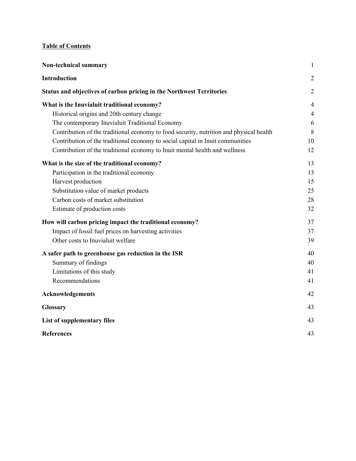# **Table of Contents**

| <b>Non-technical summary</b>                                                            | $\mathbf{1}$   |
|-----------------------------------------------------------------------------------------|----------------|
| <b>Introduction</b>                                                                     | $\overline{2}$ |
| Status and objectives of carbon pricing in the Northwest Territories                    | $\overline{2}$ |
| What is the Inuvialuit traditional economy?                                             | $\overline{4}$ |
| Historical origins and 20th century change                                              | $\overline{4}$ |
| The contemporary Inuvialuit Traditional Economy                                         | 6              |
| Contribution of the traditional economy to food security, nutrition and physical health | 8              |
| Contribution of the traditional economy to social capital in Inuit communities          | 10             |
| Contribution of the traditional economy to Inuit mental health and wellness             | 12             |
| What is the size of the traditional economy?                                            | 13             |
| Participation in the traditional economy                                                | 13             |
| Harvest production                                                                      | 15             |
| Substitution value of market products                                                   | 25             |
| Carbon costs of market substitution                                                     | 28             |
| Estimate of production costs                                                            | 32             |
| How will carbon pricing impact the traditional economy?                                 | 37             |
| Impact of fossil fuel prices on harvesting activities                                   | 37             |
| Other costs to Inuvialuit welfare                                                       | 39             |
| A safer path to greenhouse gas reduction in the ISR                                     | 40             |
| Summary of findings                                                                     | 40             |
| Limitations of this study                                                               | 41             |
| Recommendations                                                                         | 41             |
| Acknowledgements                                                                        | 42             |
| <b>Glossary</b>                                                                         | 43             |
| List of supplementary files                                                             | 43             |
| <b>References</b>                                                                       | 43             |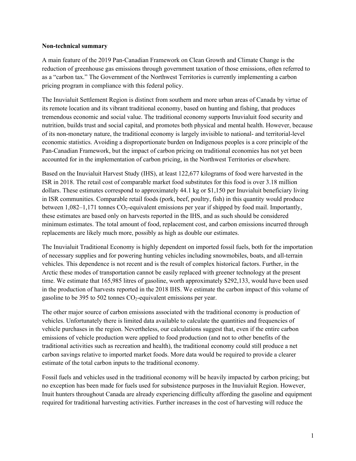#### **Non-technical summary**

A main feature of the 2019 Pan-Canadian Framework on Clean Growth and Climate Change is the reduction of greenhouse gas emissions through government taxation of those emissions, often referred to as a "carbon tax." The Government of the Northwest Territories is currently implementing a carbon pricing program in compliance with this federal policy.

The Inuvialuit Settlement Region is distinct from southern and more urban areas of Canada by virtue of its remote location and its vibrant traditional economy, based on hunting and fishing, that produces tremendous economic and social value. The traditional economy supports Inuvialuit food security and nutrition, builds trust and social capital, and promotes both physical and mental health. However, because of its non-monetary nature, the traditional economy is largely invisible to national- and territorial-level economic statistics. Avoiding a disproportionate burden on Indigenous peoples is a core principle of the Pan-Canadian Framework, but the impact of carbon pricing on traditional economies has not yet been accounted for in the implementation of carbon pricing, in the Northwest Territories or elsewhere.

Based on the Inuvialuit Harvest Study (IHS), at least 122,677 kilograms of food were harvested in the ISR in 2018. The retail cost of comparable market food substitutes for this food is over 3.18 million dollars. These estimates correspond to approximately 44.1 kg or \$1,150 per Inuvialuit beneficiary living in ISR communities. Comparable retail foods (pork, beef, poultry, fish) in this quantity would produce between  $1,082-1,171$  tonnes CO<sub>2</sub>-equivalent emissions per year if shipped by food mail. Importantly, these estimates are based only on harvests reported in the IHS, and as such should be considered minimum estimates. The total amount of food, replacement cost, and carbon emissions incurred through replacements are likely much more, possibly as high as double our estimates.

The Inuvialuit Traditional Economy is highly dependent on imported fossil fuels, both for the importation of necessary supplies and for powering hunting vehicles including snowmobiles, boats, and all-terrain vehicles. This dependence is not recent and is the result of complex historical factors. Further, in the Arctic these modes of transportation cannot be easily replaced with greener technology at the present time. We estimate that 165,985 litres of gasoline, worth approximately \$292,133, would have been used in the production of harvests reported in the 2018 IHS. We estimate the carbon impact of this volume of gasoline to be 395 to 502 tonnes  $CO<sub>2</sub>$ -equivalent emissions per year.

The other major source of carbon emissions associated with the traditional economy is production of vehicles. Unfortunately there is limited data available to calculate the quantities and frequencies of vehicle purchases in the region. Nevertheless, our calculations suggest that, even if the entire carbon emissions of vehicle production were applied to food production (and not to other benefits of the traditional activities such as recreation and health), the traditional economy could still produce a net carbon savings relative to imported market foods. More data would be required to provide a clearer estimate of the total carbon inputs to the traditional economy.

Fossil fuels and vehicles used in the traditional economy will be heavily impacted by carbon pricing; but no exception has been made for fuels used for subsistence purposes in the Inuvialuit Region. However, Inuit hunters throughout Canada are already experiencing difficulty affording the gasoline and equipment required for traditional harvesting activities. Further increases in the cost of harvesting will reduce the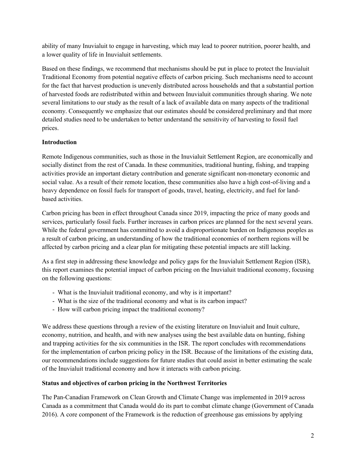ability of many Inuvialuit to engage in harvesting, which may lead to poorer nutrition, poorer health, and a lower quality of life in Inuvialuit settlements.

Based on these findings, we recommend that mechanisms should be put in place to protect the Inuvialuit Traditional Economy from potential negative effects of carbon pricing. Such mechanisms need to account for the fact that harvest production is unevenly distributed across households and that a substantial portion of harvested foods are redistributed within and between Inuvialuit communities through sharing. We note several limitations to our study as the result of a lack of available data on many aspects of the traditional economy. Consequently we emphasize that our estimates should be considered preliminary and that more detailed studies need to be undertaken to better understand the sensitivity of harvesting to fossil fuel prices.

## **Introduction**

Remote Indigenous communities, such as those in the Inuvialuit Settlement Region, are economically and socially distinct from the rest of Canada. In these communities, traditional hunting, fishing, and trapping activities provide an important dietary contribution and generate significant non-monetary economic and social value. As a result of their remote location, these communities also have a high cost-of-living and a heavy dependence on fossil fuels for transport of goods, travel, heating, electricity, and fuel for landbased activities.

Carbon pricing has been in effect throughout Canada since 2019, impacting the price of many goods and services, particularly fossil fuels. Further increases in carbon prices are planned for the next several years. While the federal government has committed to avoid a disproportionate burden on Indigenous peoples as a result of carbon pricing, an understanding of how the traditional economies of northern regions will be affected by carbon pricing and a clear plan for mitigating these potential impacts are still lacking.

As a first step in addressing these knowledge and policy gaps for the Inuvialuit Settlement Region (ISR), this report examines the potential impact of carbon pricing on the Inuvialuit traditional economy, focusing on the following questions:

- What is the Inuvialuit traditional economy, and why is it important?
- What is the size of the traditional economy and what is its carbon impact?
- How will carbon pricing impact the traditional economy?

We address these questions through a review of the existing literature on Inuvialuit and Inuit culture, economy, nutrition, and health, and with new analyses using the best available data on hunting, fishing and trapping activities for the six communities in the ISR. The report concludes with recommendations for the implementation of carbon pricing policy in the ISR. Because of the limitations of the existing data, our recommendations include suggestions for future studies that could assist in better estimating the scale of the Inuvialuit traditional economy and how it interacts with carbon pricing.

### **Status and objectives of carbon pricing in the Northwest Territories**

The Pan-Canadian Framework on Clean Growth and Climate Change was implemented in 2019 across Canada as a commitment that Canada would do its part to combat climate change (Government of Canada 2016). A core component of the Framework is the reduction of greenhouse gas emissions by applying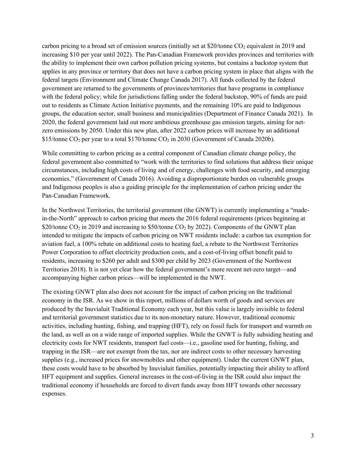carbon pricing to a broad set of emission sources (initially set at  $$20$ /tonne CO<sub>2</sub> equivalent in 2019 and increasing \$10 per year until 2022). The Pan-Canadian Framework provides provinces and territories with the ability to implement their own carbon pollution pricing systems, but contains a backstop system that applies in any province or territory that does not have a carbon pricing system in place that aligns with the federal targets (Environment and Climate Change Canada 2017). All funds collected by the federal government are returned to the governments of provinces/territories that have programs in compliance with the federal policy; while for jurisdictions falling under the federal backstop, 90% of funds are paid out to residents as Climate Action Initiative payments, and the remaining 10% are paid to Indigenous groups, the education sector, small business and municipalities (Department of Finance Canada 2021). In 2020, the federal government laid out more ambitious greenhouse gas emission targets, aiming for netzero emissions by 2050. Under this new plan, after 2022 carbon prices will increase by an additional \$15/tonne  $CO<sub>2</sub>$  per year to a total \$170/tonne  $CO<sub>2</sub>$  in 2030 (Government of Canada 2020b).

While committing to carbon pricing as a central component of Canadian climate change policy, the federal government also committed to "work with the territories to find solutions that address their unique circumstances, including high costs of living and of energy, challenges with food security, and emerging economies." (Government of Canada 2016). Avoiding a disproportionate burden on vulnerable groups and Indigenous peoples is also a guiding principle for the implementation of carbon pricing under the Pan-Canadian Framework.

In the Northwest Territories, the territorial government (the GNWT) is currently implementing a "madein-the-North" approach to carbon pricing that meets the 2016 federal requirements (prices beginning at \$20/tonne  $CO<sub>2</sub>$  in 2019 and increasing to \$50/tonne  $CO<sub>2</sub>$  by 2022). Components of the GNWT plan intended to mitigate the impacts of carbon pricing on NWT residents include: a carbon tax exemption for aviation fuel, a 100% rebate on additional costs to heating fuel, a rebate to the Northwest Territories Power Corporation to offset electricity production costs, and a cost-of-living offset benefit paid to residents, increasing to \$260 per adult and \$300 per child by 2023 (Government of the Northwest Territories 2018). It is not yet clear how the federal government's more recent net-zero target—and accompanying higher carbon prices—will be implemented in the NWT.

The existing GNWT plan also does not account for the impact of carbon pricing on the traditional economy in the ISR. As we show in this report, millions of dollars worth of goods and services are produced by the Inuvialuit Traditional Economy each year, but this value is largely invisible to federal and territorial government statistics due to its non-monetary nature. However, traditional economic activities, including hunting, fishing, and trapping (HFT), rely on fossil fuels for transport and warmth on the land, as well as on a wide range of imported supplies. While the GNWT is fully subsiding heating and electricity costs for NWT residents, transport fuel costs—i.e., gasoline used for hunting, fishing, and trapping in the ISR—are not exempt from the tax, nor are indirect costs to other necessary harvesting supplies (e.g., increased prices for snowmobiles and other equipment). Under the current GNWT plan, these costs would have to be absorbed by Inuvialuit families, potentially impacting their ability to afford HFT equipment and supplies. General increases in the cost-of-living in the ISR could also impact the traditional economy if households are forced to divert funds away from HFT towards other necessary expenses.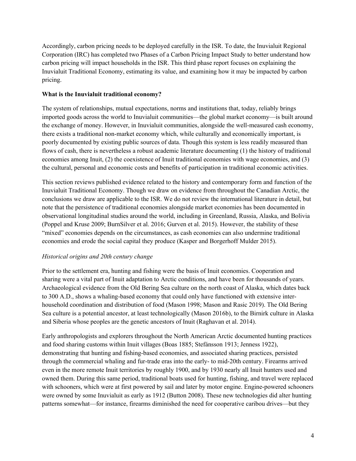Accordingly, carbon pricing needs to be deployed carefully in the ISR. To date, the Inuvialuit Regional Corporation (IRC) has completed two Phases of a Carbon Pricing Impact Study to better understand how carbon pricing will impact households in the ISR. This third phase report focuses on explaining the Inuvialuit Traditional Economy, estimating its value, and examining how it may be impacted by carbon pricing.

### **What is the Inuvialuit traditional economy?**

The system of relationships, mutual expectations, norms and institutions that, today, reliably brings imported goods across the world to Inuvialuit communities—the global market economy—is built around the exchange of money. However, in Inuvialuit communities, alongside the well-measured cash economy, there exists a traditional non-market economy which, while culturally and economically important, is poorly documented by existing public sources of data. Though this system is less readily measured than flows of cash, there is nevertheless a robust academic literature documenting (1) the history of traditional economies among Inuit, (2) the coexistence of Inuit traditional economies with wage economies, and (3) the cultural, personal and economic costs and benefits of participation in traditional economic activities.

This section reviews published evidence related to the history and contemporary form and function of the Inuvialuit Traditional Economy. Though we draw on evidence from throughout the Canadian Arctic, the conclusions we draw are applicable to the ISR. We do not review the international literature in detail, but note that the persistence of traditional economies alongside market economies has been documented in observational longitudinal studies around the world, including in Greenland, Russia, Alaska, and Bolivia (Poppel and Kruse 2009; BurnSilver et al. 2016; Gurven et al. 2015). However, the stability of these "mixed" economies depends on the circumstances, as cash economies can also undermine traditional economies and erode the social capital they produce (Kasper and Borgerhoff Mulder 2015).

### *Historical origins and 20th century change*

Prior to the settlement era, hunting and fishing were the basis of Inuit economies. Cooperation and sharing were a vital part of Inuit adaptation to Arctic conditions, and have been for thousands of years. Archaeological evidence from the Old Bering Sea culture on the north coast of Alaska, which dates back to 300 A.D., shows a whaling-based economy that could only have functioned with extensive interhousehold coordination and distribution of food (Mason 1998; Mason and Rasic 2019). The Old Bering Sea culture is a potential ancestor, at least technologically (Mason 2016b), to the Birnirk culture in Alaska and Siberia whose peoples are the genetic ancestors of Inuit (Raghavan et al. 2014).

Early anthropologists and explorers throughout the North American Arctic documented hunting practices and food sharing customs within Inuit villages (Boas 1885; Stefánsson 1913; Jenness 1922), demonstrating that hunting and fishing-based economies, and associated sharing practices, persisted through the commercial whaling and fur-trade eras into the early- to mid-20th century. Firearms arrived even in the more remote Inuit territories by roughly 1900, and by 1930 nearly all Inuit hunters used and owned them. During this same period, traditional boats used for hunting, fishing, and travel were replaced with schooners, which were at first powered by sail and later by motor engine. Engine-powered schooners were owned by some Inuvialuit as early as 1912 (Button 2008). These new technologies did alter hunting patterns somewhat—for instance, firearms diminished the need for cooperative caribou drives—but they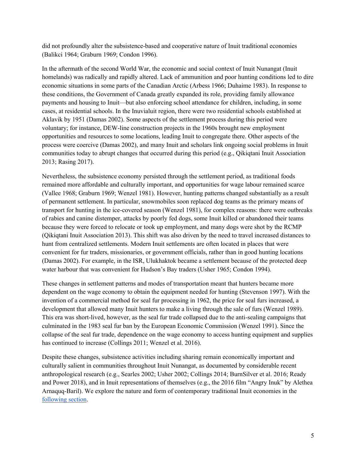did not profoundly alter the subsistence-based and cooperative nature of Inuit traditional economies (Balikci 1964; Graburn 1969; Condon 1996).

In the aftermath of the second World War, the economic and social context of Inuit Nunangat (Inuit homelands) was radically and rapidly altered. Lack of ammunition and poor hunting conditions led to dire economic situations in some parts of the Canadian Arctic (Arbess 1966; Duhaime 1983). In response to these conditions, the Government of Canada greatly expanded its role, providing family allowance payments and housing to Inuit—but also enforcing school attendance for children, including, in some cases, at residential schools. In the Inuvialuit region, there were two residential schools established at Aklavik by 1951 (Damas 2002). Some aspects of the settlement process during this period were voluntary; for instance, DEW-line construction projects in the 1960s brought new employment opportunities and resources to some locations, leading Inuit to congregate there. Other aspects of the process were coercive (Damas 2002), and many Inuit and scholars link ongoing social problems in Inuit communities today to abrupt changes that occurred during this period (e.g., Qikiqtani Inuit Association 2013; Rasing 2017).

Nevertheless, the subsistence economy persisted through the settlement period, as traditional foods remained more affordable and culturally important, and opportunities for wage labour remained scarce (Vallee 1968; Graburn 1969; Wenzel 1981). However, hunting patterns changed substantially as a result of permanent settlement. In particular, snowmobiles soon replaced dog teams as the primary means of transport for hunting in the ice-covered season (Wenzel 1981), for complex reasons: there were outbreaks of rabies and canine distemper, attacks by poorly fed dogs, some Inuit killed or abandoned their teams because they were forced to relocate or took up employment, and many dogs were shot by the RCMP (Qikiqtani Inuit Association 2013). This shift was also driven by the need to travel increased distances to hunt from centralized settlements. Modern Inuit settlements are often located in places that were convenient for fur traders, missionaries, or government officials, rather than in good hunting locations (Damas 2002). For example, in the ISR, Ulukhaktok became a settlement because of the protected deep water harbour that was convenient for Hudson's Bay traders (Usher 1965; Condon 1994).

These changes in settlement patterns and modes of transportation meant that hunters became more dependent on the wage economy to obtain the equipment needed for hunting (Stevenson 1997). With the invention of a commercial method for seal fur processing in 1962, the price for seal furs increased, a development that allowed many Inuit hunters to make a living through the sale of furs (Wenzel 1989). This era was short-lived, however, as the seal fur trade collapsed due to the anti-sealing campaigns that culminated in the 1983 seal fur ban by the European Economic Commission (Wenzel 1991). Since the collapse of the seal fur trade, dependence on the wage economy to access hunting equipment and supplies has continued to increase (Collings 2011; Wenzel et al. 2016).

Despite these changes, subsistence activities including sharing remain economically important and culturally salient in communities throughout Inuit Nunangat, as documented by considerable recent anthropological research (e.g., Searles 2002; Usher 2002; Collings 2014; BurnSilver et al. 2016; Ready and Power 2018), and in Inuit representations of themselves (e.g., the 2016 film "Angry Inuk" by Alethea Arnaquq-Baril). We explore the nature and form of contemporary traditional Inuit economies in the following section.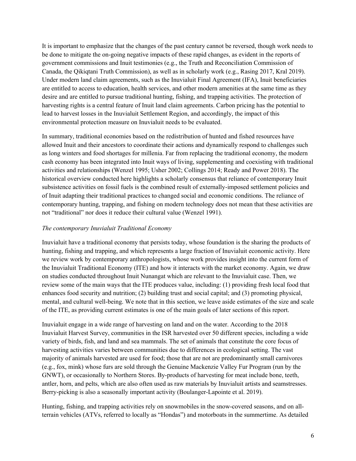It is important to emphasize that the changes of the past century cannot be reversed, though work needs to be done to mitigate the on-going negative impacts of these rapid changes, as evident in the reports of government commissions and Inuit testimonies (e.g., the Truth and Reconciliation Commission of Canada, the Qikiqtani Truth Commission), as well as in scholarly work (e.g., Rasing 2017, Kral 2019). Under modern land claim agreements, such as the Inuvialuit Final Agreement (IFA), Inuit beneficiaries are entitled to access to education, health services, and other modern amenities at the same time as they desire and are entitled to pursue traditional hunting, fishing, and trapping activities. The protection of harvesting rights is a central feature of Inuit land claim agreements. Carbon pricing has the potential to lead to harvest losses in the Inuvialuit Settlement Region, and accordingly, the impact of this environmental protection measure on Inuvialuit needs to be evaluated.

In summary, traditional economies based on the redistribution of hunted and fished resources have allowed Inuit and their ancestors to coordinate their actions and dynamically respond to challenges such as long winters and food shortages for millenia. Far from replacing the traditional economy, the modern cash economy has been integrated into Inuit ways of living, supplementing and coexisting with traditional activities and relationships (Wenzel 1995; Usher 2002; Collings 2014; Ready and Power 2018). The historical overview conducted here highlights a scholarly consensus that reliance of contemporary Inuit subsistence activities on fossil fuels is the combined result of externally-imposed settlement policies and of Inuit adapting their traditional practices to changed social and economic conditions. The reliance of contemporary hunting, trapping, and fishing on modern technology does not mean that these activities are not "traditional" nor does it reduce their cultural value (Wenzel 1991).

#### *The contemporary Inuvialuit Traditional Economy*

Inuvialuit have a traditional economy that persists today, whose foundation is the sharing the products of hunting, fishing and trapping, and which represents a large fraction of Inuvialuit economic activity. Here we review work by contemporary anthropologists, whose work provides insight into the current form of the Inuvialuit Traditional Economy (ITE) and how it interacts with the market economy. Again, we draw on studies conducted throughout Inuit Nunangat which are relevant to the Inuvialuit case. Then, we review some of the main ways that the ITE produces value, including: (1) providing fresh local food that enhances food security and nutrition; (2) building trust and social capital; and (3) promoting physical, mental, and cultural well-being. We note that in this section, we leave aside estimates of the size and scale of the ITE, as providing current estimates is one of the main goals of later sections of this report.

Inuvialuit engage in a wide range of harvesting on land and on the water. According to the 2018 Inuvialuit Harvest Survey, communities in the ISR harvested over 50 different species, including a wide variety of birds, fish, and land and sea mammals. The set of animals that constitute the core focus of harvesting activities varies between communities due to differences in ecological setting. The vast majority of animals harvested are used for food; those that are not are predominantly small carnivores (e.g., fox, mink) whose furs are sold through the Genuine Mackenzie Valley Fur Program (run by the GNWT), or occasionally to Northern Stores. By-products of harvesting for meat include bone, teeth, antler, horn, and pelts, which are also often used as raw materials by Inuvialuit artists and seamstresses. Berry-picking is also a seasonally important activity (Boulanger-Lapointe et al. 2019).

Hunting, fishing, and trapping activities rely on snowmobiles in the snow-covered seasons, and on allterrain vehicles (ATVs, referred to locally as "Hondas") and motorboats in the summertime. As detailed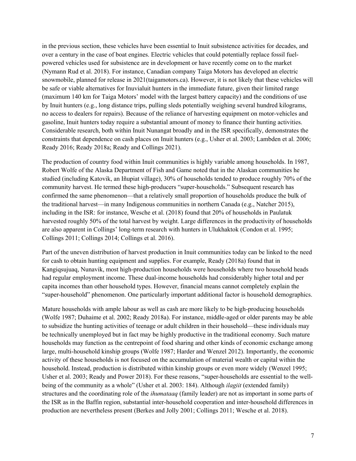in the previous section, these vehicles have been essential to Inuit subsistence activities for decades, and over a century in the case of boat engines. Electric vehicles that could potentially replace fossil fuelpowered vehicles used for subsistence are in development or have recently come on to the market (Nymann Rud et al. 2018). For instance, Canadian company Taiga Motors has developed an electric snowmobile, planned for release in 2021(taigamotors.ca). However, it is not likely that these vehicles will be safe or viable alternatives for Inuvialuit hunters in the immediate future, given their limited range (maximum 140 km for Taiga Motors' model with the largest battery capacity) and the conditions of use by Inuit hunters (e.g., long distance trips, pulling sleds potentially weighing several hundred kilograms, no access to dealers for repairs). Because of the reliance of harvesting equipment on motor-vehicles and gasoline, Inuit hunters today require a substantial amount of money to finance their hunting activities. Considerable research, both within Inuit Nunangat broadly and in the ISR specifically, demonstrates the constraints that dependence on cash places on Inuit hunters (e.g., Usher et al. 2003; Lambden et al. 2006; Ready 2016; Ready 2018a; Ready and Collings 2021).

The production of country food within Inuit communities is highly variable among households. In 1987, Robert Wolfe of the Alaska Department of Fish and Game noted that in the Alaskan communities he studied (including Katovik, an Iñupiat village), 30% of households tended to produce roughly 70% of the community harvest. He termed these high-producers "super-households." Subsequent research has confirmed the same phenomenon—that a relatively small proportion of households produce the bulk of the traditional harvest—in many Indigenous communities in northern Canada (e.g., Natcher 2015), including in the ISR: for instance, Wesche et al. (2018) found that 20% of households in Paulatuk harvested roughly 50% of the total harvest by weight. Large differences in the productivity of households are also apparent in Collings' long-term research with hunters in Ulukhaktok (Condon et al. 1995; Collings 2011; Collings 2014; Collings et al. 2016).

Part of the uneven distribution of harvest production in Inuit communities today can be linked to the need for cash to obtain hunting equipment and supplies. For example, Ready (2018a) found that in Kangiqsujuaq, Nunavik, most high-production households were households where two household heads had regular employment income. These dual-income households had considerably higher total and per capita incomes than other household types. However, financial means cannot completely explain the "super-household" phenomenon. One particularly important additional factor is household demographics.

Mature households with ample labour as well as cash are more likely to be high-producing households (Wolfe 1987; Duhaime et al. 2002; Ready 2018a). For instance, middle-aged or older parents may be able to subsidize the hunting activities of teenage or adult children in their household—these individuals may be technically unemployed but in fact may be highly productive in the traditional economy. Such mature households may function as the centrepoint of food sharing and other kinds of economic exchange among large, multi-household kinship groups (Wolfe 1987; Harder and Wenzel 2012). Importantly, the economic activity of these households is not focused on the accumulation of material wealth or capital within the household. Instead, production is distributed within kinship groups or even more widely (Wenzel 1995; Usher et al. 2003; Ready and Power 2018). For these reasons, "super-households are essential to the wellbeing of the community as a whole" (Usher et al. 2003: 184). Although *ilagiit* (extended family) structures and the coordinating role of the *ihumataaq* (family leader) are not as important in some parts of the ISR as in the Baffin region, substantial inter-household cooperation and inter-household differences in production are nevertheless present (Berkes and Jolly 2001; Collings 2011; Wesche et al. 2018).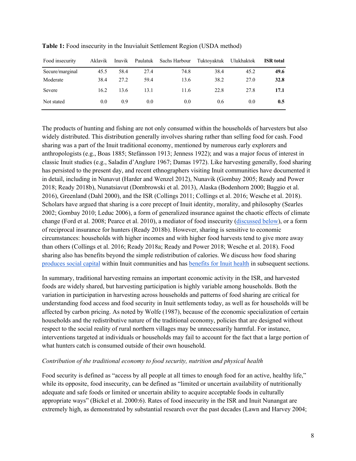| Food insecurity | Aklavik | Inuvik | Paulatuk | Sachs Harbour | Tuktoyaktuk | Ulukhaktok | <b>ISR</b> total |
|-----------------|---------|--------|----------|---------------|-------------|------------|------------------|
| Secure/marginal | 45.5    | 58.4   | 27.4     | 74.8          | 38.4        | 45.2       | 49.6             |
| Moderate        | 38.4    | 27.2   | 59.4     | 13.6          | 38.2        | 27.0       | 32.8             |
| Severe          | 16.2    | 13.6   | 13.1     | 11.6          | 22.8        | 27.8       | 17.1             |
| Not stated      | 0.0     | 0.9    | 0.0      | 0.0           | 0.6         | 0.0        | 0.5              |

**Table 1:** Food insecurity in the Inuvialuit Settlement Region (USDA method)

The products of hunting and fishing are not only consumed within the households of harvesters but also widely distributed. This distribution generally involves sharing rather than selling food for cash. Food sharing was a part of the Inuit traditional economy, mentioned by numerous early explorers and anthropologists (e.g., Boas 1885; Stefánsson 1913; Jenness 1922); and was a major focus of interest in classic Inuit studies (e.g., Saladin d'Anglure 1967; Damas 1972). Like harvesting generally, food sharing has persisted to the present day, and recent ethnographers visiting Inuit communities have documented it in detail, including in Nunavut (Harder and Wenzel 2012), Nunavik (Gombay 2005; Ready and Power 2018; Ready 2018b), Nunatsiavut (Dombrowski et al. 2013), Alaska (Bodenhorn 2000; Baggio et al. 2016), Greenland (Dahl 2000), and the ISR (Collings 2011; Collings et al. 2016; Wesche et al. 2018). Scholars have argued that sharing is a core precept of Inuit identity, morality, and philosophy (Searles 2002; Gombay 2010; Leduc 2006), a form of generalized insurance against the chaotic effects of climate change (Ford et al. 2008; Pearce et al. 2010), a mediator of food insecurity (discussed below), or a form of reciprocal insurance for hunters (Ready 2018b). However, sharing is sensitive to economic circumstances: households with higher incomes and with higher food harvests tend to give more away than others (Collings et al. 2016; Ready 2018a; Ready and Power 2018; Wesche et al. 2018). Food sharing also has benefits beyond the simple redistribution of calories. We discuss how food sharing produces social capital within Inuit communities and has benefits for Inuit health in subsequent sections.

In summary, traditional harvesting remains an important economic activity in the ISR, and harvested foods are widely shared, but harvesting participation is highly variable among households. Both the variation in participation in harvesting across households and patterns of food sharing are critical for understanding food access and food security in Inuit settlements today, as well as for households will be affected by carbon pricing. As noted by Wolfe (1987), because of the economic specialization of certain households and the redistributive nature of the traditional economy, policies that are designed without respect to the social reality of rural northern villages may be unnecessarily harmful. For instance, interventions targeted at individuals or households may fail to account for the fact that a large portion of what hunters catch is consumed outside of their own household.

#### *Contribution of the traditional economy to food security, nutrition and physical health*

Food security is defined as "access by all people at all times to enough food for an active, healthy life," while its opposite, food insecurity, can be defined as "limited or uncertain availability of nutritionally adequate and safe foods or limited or uncertain ability to acquire acceptable foods in culturally appropriate ways" (Bickel et al. 2000:6). Rates of food insecurity in the ISR and Inuit Nunangat are extremely high, as demonstrated by substantial research over the past decades (Lawn and Harvey 2004;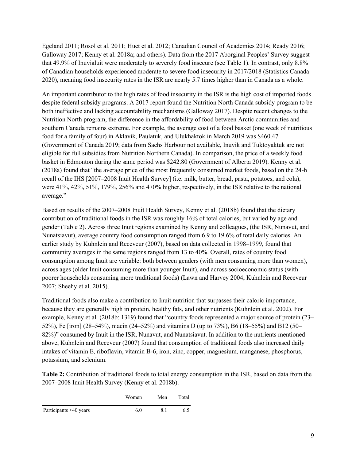Egeland 2011; Rosol et al. 2011; Huet et al. 2012; Canadian Council of Academies 2014; Ready 2016; Galloway 2017; Kenny et al. 2018a; and others). Data from the 2017 Aborginal Peoples' Survey suggest that 49.9% of Inuvialuit were moderately to severely food insecure (see Table 1). In contrast, only 8.8% of Canadian households experienced moderate to severe food insecurity in 2017/2018 (Statistics Canada 2020), meaning food insecurity rates in the ISR are nearly 5.7 times higher than in Canada as a whole.

An important contributor to the high rates of food insecurity in the ISR is the high cost of imported foods despite federal subsidy programs. A 2017 report found the Nutrition North Canada subsidy program to be both ineffective and lacking accountability mechanisms (Galloway 2017). Despite recent changes to the Nutrition North program, the difference in the affordability of food between Arctic communities and southern Canada remains extreme. For example, the average cost of a food basket (one week of nutritious food for a family of four) in Aklavik, Paulatuk, and Ulukhaktok in March 2019 was \$460.47 (Government of Canada 2019; data from Sachs Harbour not available, Inuvik and Tuktoyaktuk are not eligible for full subsidies from Nutrition Northern Canada). In comparison, the price of a weekly food basket in Edmonton during the same period was \$242.80 (Government of Alberta 2019). Kenny et al. (2018a) found that "the average price of the most frequently consumed market foods, based on the 24-h recall of the IHS [2007–2008 Inuit Health Survey] (i.e. milk, butter, bread, pasta, potatoes, and cola), were 41%, 42%, 51%, 179%, 256% and 470% higher, respectively, in the ISR relative to the national average."

Based on results of the 2007–2008 Inuit Health Survey, Kenny et al. (2018b) found that the dietary contribution of traditional foods in the ISR was roughly 16% of total calories, but varied by age and gender (Table 2). Across three Inuit regions examined by Kenny and colleagues, (the ISR, Nunavut, and Nunatsiavut), average country food consumption ranged from 6.9 to 19.6% of total daily calories. An earlier study by Kuhnlein and Receveur (2007), based on data collected in 1998–1999, found that community averages in the same regions ranged from 13 to 40%. Overall, rates of country food consumption among Inuit are variable: both between genders (with men consuming more than women), across ages (older Inuit consuming more than younger Inuit), and across socioeconomic status (with poorer households consuming more traditional foods) (Lawn and Harvey 2004; Kuhnlein and Receveur 2007; Sheehy et al. 2015).

Traditional foods also make a contribution to Inuit nutrition that surpasses their caloric importance, because they are generally high in protein, healthy fats, and other nutrients (Kuhnlein et al. 2002). For example, Kenny et al. (2018b: 1319) found that "country foods represented a major source of protein (23– 52%), Fe [iron] (28–54%), niacin (24–52%) and vitamins D (up to 73%), B6 (18–55%) and B12 (50– 82%)" consumed by Inuit in the ISR, Nunavut, and Nunatsiavut. In addition to the nutrients mentioned above, Kuhnlein and Receveur (2007) found that consumption of traditional foods also increased daily intakes of vitamin E, riboflavin, vitamin B-6, iron, zinc, copper, magnesium, manganese, phosphorus, potassium, and selenium.

**Table 2:** Contribution of traditional foods to total energy consumption in the ISR, based on data from the 2007–2008 Inuit Health Survey (Kenny et al. 2018b).

|                        | Women | Men | Total |
|------------------------|-------|-----|-------|
| Participants <40 years | 6.0   | 8.1 | 6.5   |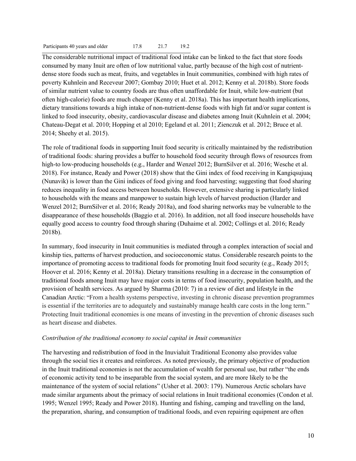The considerable nutritional impact of traditional food intake can be linked to the fact that store foods consumed by many Inuit are often of low nutritional value, partly because of the high cost of nutrientdense store foods such as meat, fruits, and vegetables in Inuit communities, combined with high rates of poverty Kuhnlein and Receveur 2007; Gombay 2010; Huet et al. 2012; Kenny et al. 2018b). Store foods of similar nutrient value to country foods are thus often unaffordable for Inuit, while low-nutrient (but often high-calorie) foods are much cheaper (Kenny et al. 2018a). This has important health implications, dietary transitions towards a high intake of non-nutrient-dense foods with high fat and/or sugar content is linked to food insecurity, obesity, cardiovascular disease and diabetes among Inuit (Kuhnlein et al. 2004; Chateau-Degat et al. 2010; Hopping et al 2010; Egeland et al. 2011; Zienczuk et al. 2012; Bruce et al. 2014; Sheehy et al. 2015).

The role of traditional foods in supporting Inuit food security is critically maintained by the redistribution of traditional foods: sharing provides a buffer to household food security through flows of resources from high-to low-producing households (e.g., Harder and Wenzel 2012; BurnSilver et al. 2016; Wesche et al. 2018). For instance, Ready and Power (2018) show that the Gini index of food receiving in Kangiqsujuaq (Nunavik) is lower than the Gini indices of food giving and food harvesting; suggesting that food sharing reduces inequality in food access between households. However, extensive sharing is particularly linked to households with the means and manpower to sustain high levels of harvest production (Harder and Wenzel 2012; BurnSilver et al. 2016; Ready 2018a), and food sharing networks may be vulnerable to the disappearance of these households (Baggio et al. 2016). In addition, not all food insecure households have equally good access to country food through sharing (Duhaime et al. 2002; Collings et al. 2016; Ready 2018b).

In summary, food insecurity in Inuit communities is mediated through a complex interaction of social and kinship ties, patterns of harvest production, and socioeconomic status. Considerable research points to the importance of promoting access to traditional foods for promoting Inuit food security (e.g., Ready 2015; Hoover et al. 2016; Kenny et al. 2018a). Dietary transitions resulting in a decrease in the consumption of traditional foods among Inuit may have major costs in terms of food insecurity, population health, and the provision of health services. As argued by Sharma (2010: 7) in a review of diet and lifestyle in the Canadian Arctic: "From a health systems perspective, investing in chronic disease prevention programmes is essential if the territories are to adequately and sustainably manage health care costs in the long term." Protecting Inuit traditional economies is one means of investing in the prevention of chronic diseases such as heart disease and diabetes.

#### *Contribution of the traditional economy to social capital in Inuit communities*

The harvesting and redistribution of food in the Inuvialuit Traditional Economy also provides value through the social ties it creates and reinforces. As noted previously, the primary objective of production in the Inuit traditional economies is not the accumulation of wealth for personal use, but rather "the ends of economic activity tend to be inseparable from the social system, and are more likely to be the maintenance of the system of social relations" (Usher et al. 2003: 179). Numerous Arctic scholars have made similar arguments about the primacy of social relations in Inuit traditional economies (Condon et al. 1995; Wenzel 1995; Ready and Power 2018). Hunting and fishing, camping and travelling on the land, the preparation, sharing, and consumption of traditional foods, and even repairing equipment are often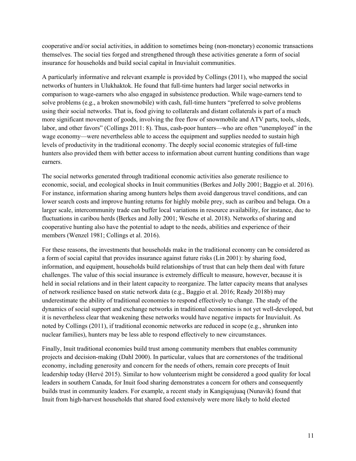cooperative and/or social activities, in addition to sometimes being (non-monetary) economic transactions themselves. The social ties forged and strengthened through these activities generate a form of social insurance for households and build social capital in Inuvialuit communities.

A particularly informative and relevant example is provided by Collings (2011), who mapped the social networks of hunters in Ulukhaktok. He found that full-time hunters had larger social networks in comparison to wage-earners who also engaged in subsistence production. While wage-earners tend to solve problems (e.g., a broken snowmobile) with cash, full-time hunters "preferred to solve problems using their social networks. That is, food giving to collaterals and distant collaterals is part of a much more significant movement of goods, involving the free flow of snowmobile and ATV parts, tools, sleds, labor, and other favors" (Collings 2011: 8). Thus, cash-poor hunters—who are often "unemployed" in the wage economy—were nevertheless able to access the equipment and supplies needed to sustain high levels of productivity in the traditional economy. The deeply social economic strategies of full-time hunters also provided them with better access to information about current hunting conditions than wage earners.

The social networks generated through traditional economic activities also generate resilience to economic, social, and ecological shocks in Inuit communities (Berkes and Jolly 2001; Baggio et al. 2016). For instance, information sharing among hunters helps them avoid dangerous travel conditions, and can lower search costs and improve hunting returns for highly mobile prey, such as caribou and beluga. On a larger scale, intercommunity trade can buffer local variations in resource availability, for instance, due to fluctuations in caribou herds (Berkes and Jolly 2001; Wesche et al. 2018). Networks of sharing and cooperative hunting also have the potential to adapt to the needs, abilities and experience of their members (Wenzel 1981; Collings et al. 2016).

For these reasons, the investments that households make in the traditional economy can be considered as a form of social capital that provides insurance against future risks (Lin 2001): by sharing food, information, and equipment, households build relationships of trust that can help them deal with future challenges. The value of this social insurance is extremely difficult to measure, however, because it is held in social relations and in their latent capacity to reorganize. The latter capacity means that analyses of network resilience based on static network data (e.g., Baggio et al. 2016; Ready 2018b) may underestimate the ability of traditional economies to respond effectively to change. The study of the dynamics of social support and exchange networks in traditional economies is not yet well-developed, but it is nevertheless clear that weakening these networks would have negative impacts for Inuvialuit. As noted by Collings (2011), if traditional economic networks are reduced in scope (e.g., shrunken into nuclear families), hunters may be less able to respond effectively to new circumstances.

Finally, Inuit traditional economies build trust among community members that enables community projects and decision-making (Dahl 2000). In particular, values that are cornerstones of the traditional economy, including generosity and concern for the needs of others, remain core precepts of Inuit leadership today (Hervé 2015). Similar to how volunteerism might be considered a good quality for local leaders in southern Canada, for Inuit food sharing demonstrates a concern for others and consequently builds trust in community leaders. For example, a recent study in Kangiqsujuaq (Nunavik) found that Inuit from high-harvest households that shared food extensively were more likely to hold elected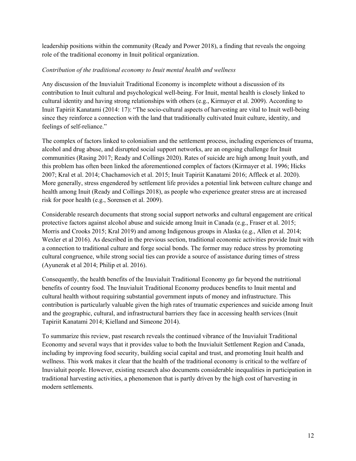leadership positions within the community (Ready and Power 2018), a finding that reveals the ongoing role of the traditional economy in Inuit political organization.

### *Contribution of the traditional economy to Inuit mental health and wellness*

Any discussion of the Inuvialuit Traditional Economy is incomplete without a discussion of its contribution to Inuit cultural and psychological well-being. For Inuit, mental health is closely linked to cultural identity and having strong relationships with others (e.g., Kirmayer et al. 2009). According to Inuit Tapiriit Kanatami (2014: 17): "The socio-cultural aspects of harvesting are vital to Inuit well-being since they reinforce a connection with the land that traditionally cultivated Inuit culture, identity, and feelings of self-reliance."

The complex of factors linked to colonialism and the settlement process, including experiences of trauma, alcohol and drug abuse, and disrupted social support networks, are an ongoing challenge for Inuit communities (Rasing 2017; Ready and Collings 2020). Rates of suicide are high among Inuit youth, and this problem has often been linked the aforementioned complex of factors (Kirmayer et al. 1996; Hicks 2007; Kral et al. 2014; Chachamovich et al. 2015; Inuit Tapiriit Kanatami 2016; Affleck et al. 2020). More generally, stress engendered by settlement life provides a potential link between culture change and health among Inuit (Ready and Collings 2018), as people who experience greater stress are at increased risk for poor health (e.g., Sorensen et al. 2009).

Considerable research documents that strong social support networks and cultural engagement are critical protective factors against alcohol abuse and suicide among Inuit in Canada (e.g., Fraser et al. 2015; Morris and Crooks 2015; Kral 2019) and among Indigenous groups in Alaska (e.g., Allen et al. 2014; Wexler et al 2016). As described in the previous section, traditional economic activities provide Inuit with a connection to traditional culture and forge social bonds. The former may reduce stress by promoting cultural congruence, while strong social ties can provide a source of assistance during times of stress (Ayunerak et al 2014; Philip et al. 2016).

Consequently, the health benefits of the Inuvialuit Traditional Economy go far beyond the nutritional benefits of country food. The Inuvialuit Traditional Economy produces benefits to Inuit mental and cultural health without requiring substantial government inputs of money and infrastructure. This contribution is particularly valuable given the high rates of traumatic experiences and suicide among Inuit and the geographic, cultural, and infrastructural barriers they face in accessing health services (Inuit Tapiriit Kanatami 2014; Kielland and Simeone 2014).

To summarize this review, past research reveals the continued vibrance of the Inuvialuit Traditional Economy and several ways that it provides value to both the Inuvialuit Settlement Region and Canada, including by improving food security, building social capital and trust, and promoting Inuit health and wellness. This work makes it clear that the health of the traditional economy is critical to the welfare of Inuvialuit people. However, existing research also documents considerable inequalities in participation in traditional harvesting activities, a phenomenon that is partly driven by the high cost of harvesting in modern settlements.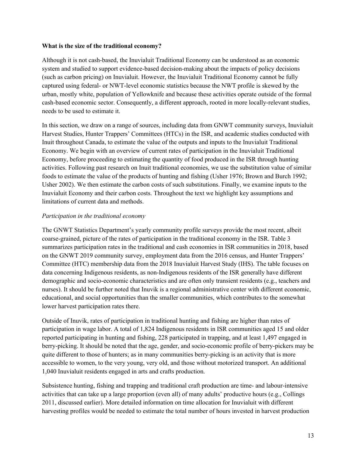#### **What is the size of the traditional economy?**

Although it is not cash-based, the Inuvialuit Traditional Economy can be understood as an economic system and studied to support evidence-based decision-making about the impacts of policy decisions (such as carbon pricing) on Inuvialuit. However, the Inuvialuit Traditional Economy cannot be fully captured using federal- or NWT-level economic statistics because the NWT profile is skewed by the urban, mostly white, population of Yellowknife and because these activities operate outside of the formal cash-based economic sector. Consequently, a different approach, rooted in more locally-relevant studies, needs to be used to estimate it.

In this section, we draw on a range of sources, including data from GNWT community surveys, Inuvialuit Harvest Studies, Hunter Trappers' Committees (HTCs) in the ISR, and academic studies conducted with Inuit throughout Canada, to estimate the value of the outputs and inputs to the Inuvialuit Traditional Economy. We begin with an overview of current rates of participation in the Inuvialuit Traditional Economy, before proceeding to estimating the quantity of food produced in the ISR through hunting activities. Following past research on Inuit traditional economies, we use the substitution value of similar foods to estimate the value of the products of hunting and fishing (Usher 1976; Brown and Burch 1992; Usher 2002). We then estimate the carbon costs of such substitutions. Finally, we examine inputs to the Inuvialuit Economy and their carbon costs. Throughout the text we highlight key assumptions and limitations of current data and methods.

### *Participation in the traditional economy*

The GNWT Statistics Department's yearly community profile surveys provide the most recent, albeit coarse-grained, picture of the rates of participation in the traditional economy in the ISR. Table 3 summarizes participation rates in the traditional and cash economies in ISR communities in 2018, based on the GNWT 2019 community survey, employment data from the 2016 census, and Hunter Trappers' Committee (HTC) membership data from the 2018 Inuvialuit Harvest Study (IHS). The table focuses on data concerning Indigenous residents, as non-Indigenous residents of the ISR generally have different demographic and socio-economic characteristics and are often only transient residents (e.g., teachers and nurses). It should be further noted that Inuvik is a regional administrative center with different economic, educational, and social opportunities than the smaller communities, which contributes to the somewhat lower harvest participation rates there.

Outside of Inuvik, rates of participation in traditional hunting and fishing are higher than rates of participation in wage labor. A total of 1,824 Indigenous residents in ISR communities aged 15 and older reported participating in hunting and fishing, 228 participated in trapping, and at least 1,497 engaged in berry-picking. It should be noted that the age, gender, and socio-economic profile of berry-pickers may be quite different to those of hunters; as in many communities berry-picking is an activity that is more accessible to women, to the very young, very old, and those without motorized transport. An additional 1,040 Inuvialuit residents engaged in arts and crafts production.

Subsistence hunting, fishing and trapping and traditional craft production are time- and labour-intensive activities that can take up a large proportion (even all) of many adults' productive hours (e.g., Collings 2011, discussed earlier). More detailed information on time allocation for Inuvialuit with different harvesting profiles would be needed to estimate the total number of hours invested in harvest production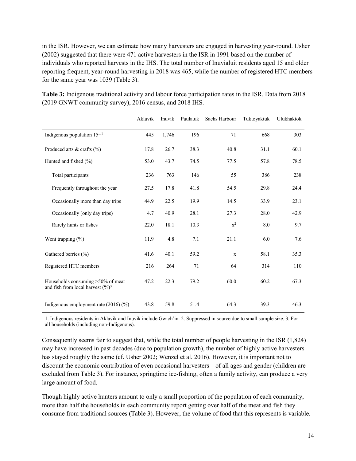in the ISR. However, we can estimate how many harvesters are engaged in harvesting year-round. Usher (2002) suggested that there were 471 active harvesters in the ISR in 1991 based on the number of individuals who reported harvests in the IHS. The total number of Inuvialuit residents aged 15 and older reporting frequent, year-round harvesting in 2018 was 465, while the number of registered HTC members for the same year was 1039 (Table 3).

**Table 3:** Indigenous traditional activity and labour force participation rates in the ISR. Data from 2018 (2019 GNWT community survey), 2016 census, and 2018 IHS.

|                                                                                    | Aklavik | Inuvik | Paulatuk | Sachs Harbour  | Tuktoyaktuk | Ulukhaktok |
|------------------------------------------------------------------------------------|---------|--------|----------|----------------|-------------|------------|
| Indigenous population $15+1$                                                       | 445     | 1,746  | 196      | 71             | 668         | 303        |
| Produced arts $&$ crafts $(\%)$                                                    | 17.8    | 26.7   | 38.3     | 40.8           | 31.1        | 60.1       |
| Hunted and fished (%)                                                              | 53.0    | 43.7   | 74.5     | 77.5           | 57.8        | 78.5       |
| Total participants                                                                 | 236     | 763    | 146      | 55             | 386         | 238        |
| Frequently throughout the year                                                     | 27.5    | 17.8   | 41.8     | 54.5           | 29.8        | 24.4       |
| Occasionally more than day trips                                                   | 44.9    | 22.5   | 19.9     | 14.5           | 33.9        | 23.1       |
| Occasionally (only day trips)                                                      | 4.7     | 40.9   | 28.1     | 27.3           | 28.0        | 42.9       |
| Rarely hunts or fishes                                                             | 22.0    | 18.1   | 10.3     | $\mathbf{x}^2$ | 8.0         | 9.7        |
| Went trapping $(\% )$                                                              | 11.9    | 4.8    | 7.1      | 21.1           | 6.0         | 7.6        |
| Gathered berries (%)                                                               | 41.6    | 40.1   | 59.2     | $\mathbf{x}$   | 58.1        | 35.3       |
| Registered HTC members                                                             | 216     | 264    | 71       | 64             | 314         | 110        |
| Households consuming >50% of meat<br>and fish from local harvest $(\frac{9}{0})^3$ | 47.2    | 22.3   | 79.2     | 60.0           | 60.2        | 67.3       |
| Indigenous employment rate $(2016)(%$                                              | 43.8    | 59.8   | 51.4     | 64.3           | 39.3        | 46.3       |

1. Indigenous residents in Aklavik and Inuvik include Gwich'in. 2. Suppressed in source due to small sample size. 3. For all households (including non-Indigenous).

Consequently seems fair to suggest that, while the total number of people harvesting in the ISR (1,824) may have increased in past decades (due to population growth), the number of highly active harvesters has stayed roughly the same (cf. Usher 2002; Wenzel et al. 2016). However, it is important not to discount the economic contribution of even occasional harvesters—of all ages and gender (children are excluded from Table 3). For instance, springtime ice-fishing, often a family activity, can produce a very large amount of food.

Though highly active hunters amount to only a small proportion of the population of each community, more than half the households in each community report getting over half of the meat and fish they consume from traditional sources (Table 3). However, the volume of food that this represents is variable.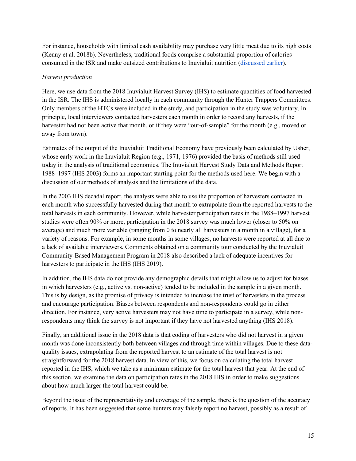For instance, households with limited cash availability may purchase very little meat due to its high costs (Kenny et al. 2018b). Nevertheless, traditional foods comprise a substantial proportion of calories consumed in the ISR and make outsized contributions to Inuvialuit nutrition (discussed earlier).

### *Harvest production*

Here, we use data from the 2018 Inuvialuit Harvest Survey (IHS) to estimate quantities of food harvested in the ISR. The IHS is administered locally in each community through the Hunter Trappers Committees. Only members of the HTCs were included in the study, and participation in the study was voluntary. In principle, local interviewers contacted harvesters each month in order to record any harvests, if the harvester had not been active that month, or if they were "out-of-sample" for the month (e.g., moved or away from town).

Estimates of the output of the Inuvialuit Traditional Economy have previously been calculated by Usher, whose early work in the Inuvialuit Region (e.g., 1971, 1976) provided the basis of methods still used today in the analysis of traditional economies. The Inuvialuit Harvest Study Data and Methods Report 1988–1997 (IHS 2003) forms an important starting point for the methods used here. We begin with a discussion of our methods of analysis and the limitations of the data.

In the 2003 IHS decadal report, the analysts were able to use the proportion of harvesters contacted in each month who successfully harvested during that month to extrapolate from the reported harvests to the total harvests in each community. However, while harvester participation rates in the 1988–1997 harvest studies were often 90% or more, participation in the 2018 survey was much lower (closer to 50% on average) and much more variable (ranging from 0 to nearly all harvesters in a month in a village), for a variety of reasons. For example, in some months in some villages, no harvests were reported at all due to a lack of available interviewers. Comments obtained on a community tour conducted by the Inuvialuit Community-Based Management Program in 2018 also described a lack of adequate incentives for harvesters to participate in the IHS (IHS 2019).

In addition, the IHS data do not provide any demographic details that might allow us to adjust for biases in which harvesters (e.g., active vs. non-active) tended to be included in the sample in a given month. This is by design, as the promise of privacy is intended to increase the trust of harvesters in the process and encourage participation. Biases between respondents and non-respondents could go in either direction. For instance, very active harvesters may not have time to participate in a survey, while nonrespondents may think the survey is not important if they have not harvested anything (IHS 2018).

Finally, an additional issue in the 2018 data is that coding of harvesters who did not harvest in a given month was done inconsistently both between villages and through time within villages. Due to these dataquality issues, extrapolating from the reported harvest to an estimate of the total harvest is not straightforward for the 2018 harvest data. In view of this, we focus on calculating the total harvest reported in the IHS, which we take as a minimum estimate for the total harvest that year. At the end of this section, we examine the data on participation rates in the 2018 IHS in order to make suggestions about how much larger the total harvest could be.

Beyond the issue of the representativity and coverage of the sample, there is the question of the accuracy of reports. It has been suggested that some hunters may falsely report no harvest, possibly as a result of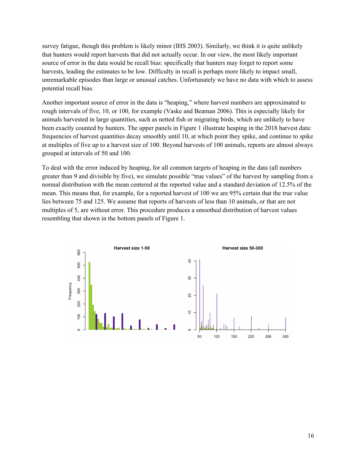survey fatigue, though this problem is likely minor (IHS 2003). Similarly, we think it is quite unlikely that hunters would report harvests that did not actually occur. In our view, the most likely important source of error in the data would be recall bias: specifically that hunters may forget to report some harvests, leading the estimates to be low. Difficulty in recall is perhaps more likely to impact small, unremarkable episodes than large or unusual catches. Unfortunately we have no data with which to assess potential recall bias.

Another important source of error in the data is "heaping," where harvest numbers are approximated to rough intervals of five, 10, or 100, for example (Vaske and Beaman 2006). This is especially likely for animals harvested in large quantities, such as netted fish or migrating birds, which are unlikely to have been exactly counted by hunters. The upper panels in Figure 1 illustrate heaping in the 2018 harvest data: frequencies of harvest quantities decay smoothly until 10, at which point they spike, and continue to spike at multiples of five up to a harvest size of 100. Beyond harvests of 100 animals, reports are almost always grouped at intervals of 50 and 100.

To deal with the error induced by heaping, for all common targets of heaping in the data (all numbers greater than 9 and divisible by five), we simulate possible "true values" of the harvest by sampling from a normal distribution with the mean centered at the reported value and a standard deviation of 12.5% of the mean. This means that, for example, for a reported harvest of 100 we are 95% certain that the true value lies between 75 and 125. We assume that reports of harvests of less than 10 animals, or that are not multiples of 5, are without error. This procedure produces a smoothed distribution of harvest values resembling that shown in the bottom panels of Figure 1.

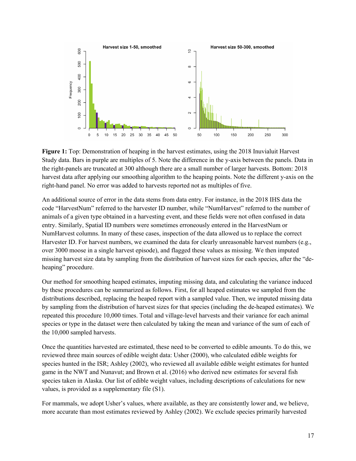

**Figure 1:** Top: Demonstration of heaping in the harvest estimates, using the 2018 Inuvialuit Harvest Study data. Bars in purple are multiples of 5. Note the difference in the y-axis between the panels. Data in the right-panels are truncated at 300 although there are a small number of larger harvests. Bottom: 2018 harvest data after applying our smoothing algorithm to the heaping points. Note the different y-axis on the right-hand panel. No error was added to harvests reported not as multiples of five.

An additional source of error in the data stems from data entry. For instance, in the 2018 IHS data the code "HarvestNum" referred to the harvester ID number, while "NumHarvest" referred to the number of animals of a given type obtained in a harvesting event, and these fields were not often confused in data entry. Similarly, Spatial ID numbers were sometimes erroneously entered in the HarvestNum or NumHarvest columns. In many of these cases, inspection of the data allowed us to replace the correct Harvester ID. For harvest numbers, we examined the data for clearly unreasonable harvest numbers (e.g., over 3000 moose in a single harvest episode), and flagged these values as missing. We then imputed missing harvest size data by sampling from the distribution of harvest sizes for each species, after the "deheaping" procedure.

Our method for smoothing heaped estimates, imputing missing data, and calculating the variance induced by these procedures can be summarized as follows. First, for all heaped estimates we sampled from the distributions described, replacing the heaped report with a sampled value. Then, we imputed missing data by sampling from the distribution of harvest sizes for that species (including the de-heaped estimates). We repeated this procedure 10,000 times. Total and village-level harvests and their variance for each animal species or type in the dataset were then calculated by taking the mean and variance of the sum of each of the 10,000 sampled harvests.

Once the quantities harvested are estimated, these need to be converted to edible amounts. To do this, we reviewed three main sources of edible weight data: Usher (2000), who calculated edible weights for species hunted in the ISR; Ashley (2002), who reviewed all available edible weight estimates for hunted game in the NWT and Nunavut; and Brown et al. (2016) who derived new estimates for several fish species taken in Alaska. Our list of edible weight values, including descriptions of calculations for new values, is provided as a supplementary file (S1).

For mammals, we adopt Usher's values, where available, as they are consistently lower and, we believe, more accurate than most estimates reviewed by Ashley (2002). We exclude species primarily harvested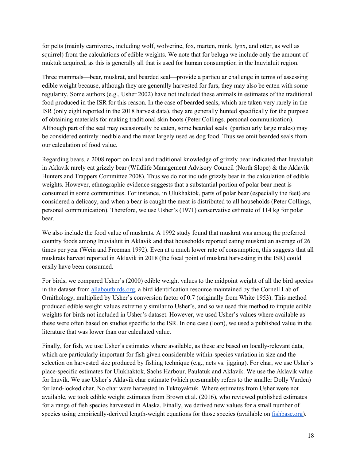for pelts (mainly carnivores, including wolf, wolverine, fox, marten, mink, lynx, and otter, as well as squirrel) from the calculations of edible weights. We note that for beluga we include only the amount of muktuk acquired, as this is generally all that is used for human consumption in the Inuvialuit region.

Three mammals—bear, muskrat, and bearded seal—provide a particular challenge in terms of assessing edible weight because, although they are generally harvested for furs, they may also be eaten with some regularity. Some authors (e.g., Usher 2002) have not included these animals in estimates of the traditional food produced in the ISR for this reason. In the case of bearded seals, which are taken very rarely in the ISR (only eight reported in the 2018 harvest data), they are generally hunted specifically for the purpose of obtaining materials for making traditional skin boots (Peter Collings, personal communication). Although part of the seal may occasionally be eaten, some bearded seals (particularly large males) may be considered entirely inedible and the meat largely used as dog food. Thus we omit bearded seals from our calculation of food value.

Regarding bears, a 2008 report on local and traditional knowledge of grizzly bear indicated that Inuvialuit in Aklavik rarely eat grizzly bear (Wildlife Management Advisory Council (North Slope) & the Aklavik Hunters and Trappers Committee 2008). Thus we do not include grizzly bear in the calculation of edible weights. However, ethnographic evidence suggests that a substantial portion of polar bear meat is consumed in some communities. For instance, in Ulukhaktok, parts of polar bear (especially the feet) are considered a delicacy, and when a bear is caught the meat is distributed to all households (Peter Collings, personal communication). Therefore, we use Usher's (1971) conservative estimate of 114 kg for polar bear.

We also include the food value of muskrats. A 1992 study found that muskrat was among the preferred country foods among Inuvialuit in Aklavik and that households reported eating muskrat an average of 26 times per year (Wein and Freeman 1992). Even at a much lower rate of consumption, this suggests that all muskrats harvest reported in Aklavik in 2018 (the focal point of muskrat harvesting in the ISR) could easily have been consumed.

For birds, we compared Usher's (2000) edible weight values to the midpoint weight of all the bird species in the dataset from allaboutbirds.org, a bird identification resource maintained by the Cornell Lab of Ornithology, multiplied by Usher's conversion factor of 0.7 (originally from White 1953). This method produced edible weight values extremely similar to Usher's, and so we used this method to impute edible weights for birds not included in Usher's dataset. However, we used Usher's values where available as these were often based on studies specific to the ISR. In one case (loon), we used a published value in the literature that was lower than our calculated value.

Finally, for fish, we use Usher's estimates where available, as these are based on locally-relevant data, which are particularly important for fish given considerable within-species variation in size and the selection on harvested size produced by fishing technique (e.g., nets vs. jigging). For char, we use Usher's place-specific estimates for Ulukhaktok, Sachs Harbour, Paulatuk and Aklavik. We use the Aklavik value for Inuvik. We use Usher's Aklavik char estimate (which presumably refers to the smaller Dolly Varden) for land-locked char. No char were harvested in Tuktoyaktuk. Where estimates from Usher were not available, we took edible weight estimates from Brown et al. (2016), who reviewed published estimates for a range of fish species harvested in Alaska. Finally, we derived new values for a small number of species using empirically-derived length-weight equations for those species (available on fishbase.org).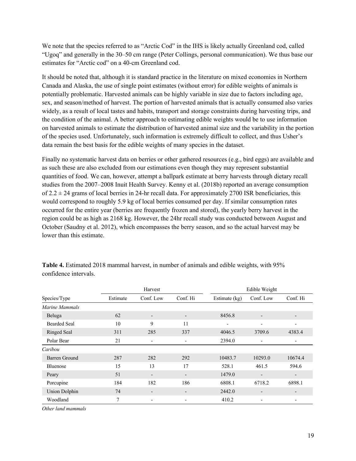We note that the species referred to as "Arctic Cod" in the IHS is likely actually Greenland cod, called "Ugoq" and generally in the 30–50 cm range (Peter Collings, personal communication). We thus base our estimates for "Arctic cod" on a 40-cm Greenland cod.

It should be noted that, although it is standard practice in the literature on mixed economies in Northern Canada and Alaska, the use of single point estimates (without error) for edible weights of animals is potentially problematic. Harvested animals can be highly variable in size due to factors including age, sex, and season/method of harvest. The portion of harvested animals that is actually consumed also varies widely, as a result of local tastes and habits, transport and storage constraints during harvesting trips, and the condition of the animal. A better approach to estimating edible weights would be to use information on harvested animals to estimate the distribution of harvested animal size and the variability in the portion of the species used. Unfortunately, such information is extremely difficult to collect, and thus Usher's data remain the best basis for the edible weights of many species in the dataset.

Finally no systematic harvest data on berries or other gathered resources (e.g., bird eggs) are available and as such these are also excluded from our estimations even though they may represent substantial quantities of food. We can, however, attempt a ballpark estimate at berry harvests through dietary recall studies from the 2007–2008 Inuit Health Survey. Kenny et al. (2018b) reported an average consumption of  $2.2 \pm 24$  grams of local berries in 24-hr recall data. For approximately 2700 ISR beneficiaries, this would correspond to roughly 5.9 kg of local berries consumed per day. If similar consumption rates occurred for the entire year (berries are frequently frozen and stored), the yearly berry harvest in the region could be as high as 2168 kg. However, the 24hr recall study was conducted between August and October (Saudny et al. 2012), which encompasses the berry season, and so the actual harvest may be lower than this estimate.

|                      |          | Harvest                  |          |               | Edible Weight            |                          |
|----------------------|----------|--------------------------|----------|---------------|--------------------------|--------------------------|
| Species/Type         | Estimate | Conf. Low                | Conf. Hi | Estimate (kg) | Conf. Low                | Conf. Hi                 |
| Marine Mammals       |          |                          |          |               |                          |                          |
| Beluga               | 62       | $\overline{\phantom{a}}$ | -        | 8456.8        | $\overline{\phantom{a}}$ |                          |
| <b>Bearded Seal</b>  | 10       | 9                        | 11       | ۰             |                          |                          |
| <b>Ringed Seal</b>   | 311      | 285                      | 337      | 4046.5        | 3709.6                   | 4383.4                   |
| Polar Bear           | 21       | $\overline{\phantom{a}}$ | -        | 2394.0        | ٠                        | $\overline{\phantom{a}}$ |
| Caribou              |          |                          |          |               |                          |                          |
| Barren Ground        | 287      | 282                      | 292      | 10483.7       | 10293.0                  | 10674.4                  |
| Bluenose             | 15       | 13                       | 17       | 528.1         | 461.5                    | 594.6                    |
| Peary                | 51       | $\overline{\phantom{a}}$ |          | 1479.0        | ٠                        | $\overline{\phantom{a}}$ |
| Porcupine            | 184      | 182                      | 186      | 6808.1        | 6718.2                   | 6898.1                   |
| <b>Union Dolphin</b> | 74       | $\overline{\phantom{a}}$ |          | 2442.0        | $\overline{\phantom{0}}$ | -                        |
| Woodland             | 7        | $\overline{\phantom{a}}$ | ٠        | 410.2         | $\overline{\phantom{a}}$ | -                        |

**Table 4.** Estimated 2018 mammal harvest, in number of animals and edible weights, with 95% confidence intervals.

*Other land mammals*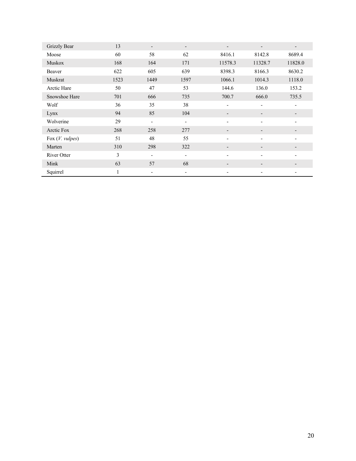| Grizzly Bear      | 13   | $\overline{\phantom{a}}$ | $\overline{\phantom{a}}$ | $\overline{\phantom{0}}$ | $\overline{\phantom{a}}$ |         |
|-------------------|------|--------------------------|--------------------------|--------------------------|--------------------------|---------|
| Moose             | 60   | 58                       | 62                       | 8416.1                   | 8142.8                   | 8689.4  |
| <b>Muskox</b>     | 168  | 164                      | 171                      | 11578.3                  | 11328.7                  | 11828.0 |
| Beaver            | 622  | 605                      | 639                      | 8398.3                   | 8166.3                   | 8630.2  |
| Muskrat           | 1523 | 1449                     | 1597                     | 1066.1                   | 1014.3                   | 1118.0  |
| Arctic Hare       | 50   | 47                       | 53                       | 144.6                    | 136.0                    | 153.2   |
| Snowshoe Hare     | 701  | 666                      | 735                      | 700.7                    | 666.0                    | 735.5   |
| Wolf              | 36   | 35                       | 38                       | ۰                        | $\overline{\phantom{a}}$ |         |
| Lynx              | 94   | 85                       | 104                      | $\overline{\phantom{a}}$ | $\overline{\phantom{a}}$ |         |
| Wolverine         | 29   | $\overline{\phantom{a}}$ | $\overline{\phantom{a}}$ | $\overline{\phantom{a}}$ | $\overline{\phantom{a}}$ |         |
| Arctic Fox        | 268  | 258                      | 277                      | $\overline{\phantom{0}}$ |                          |         |
| Fox $(V.$ vulpes) | 51   | 48                       | 55                       | ۰                        |                          |         |
| Marten            | 310  | 298                      | 322                      | $\overline{\phantom{0}}$ |                          |         |
| River Otter       | 3    | $\overline{\phantom{a}}$ | ٠                        | $\overline{\phantom{0}}$ | ۰                        |         |
| Mink              | 63   | 57                       | 68                       | $\overline{\phantom{a}}$ |                          |         |
| Squirrel          |      | $\overline{\phantom{a}}$ | ٠                        | $\overline{\phantom{0}}$ |                          |         |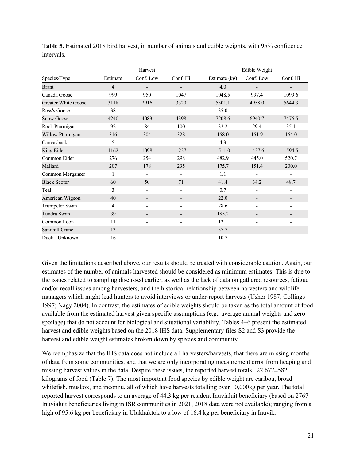|                     | Harvest        |                          |                          |               | Edible Weight            |                          |  |  |
|---------------------|----------------|--------------------------|--------------------------|---------------|--------------------------|--------------------------|--|--|
| Species/Type        | Estimate       | Conf. Low                | Conf. Hi                 | Estimate (kg) | Conf. Low                | Conf. Hi                 |  |  |
| <b>Brant</b>        | $\overline{4}$ | $\overline{\phantom{a}}$ | $\overline{\phantom{a}}$ | 4.0           | $\overline{\phantom{a}}$ | $\overline{\phantom{a}}$ |  |  |
| Canada Goose        | 999            | 950                      | 1047                     | 1048.5        | 997.4                    | 1099.6                   |  |  |
| Greater White Goose | 3118           | 2916                     | 3320                     | 5301.1        | 4958.0                   | 5644.3                   |  |  |
| Ross's Goose        | 38             |                          | $\overline{a}$           | 35.0          | $\overline{\phantom{0}}$ |                          |  |  |
| <b>Snow Goose</b>   | 4240           | 4083                     | 4398                     | 7208.6        | 6940.7                   | 7476.5                   |  |  |
| Rock Ptarmigan      | 92             | 84                       | 100                      | 32.2          | 29.4                     | 35.1                     |  |  |
| Willow Ptarmigan    | 316            | 304                      | 328                      | 158.0         | 151.9                    | 164.0                    |  |  |
| Canvasback          | 5              | $\overline{\phantom{0}}$ | $\overline{\phantom{m}}$ | 4.3           | $\overline{\phantom{a}}$ | $\overline{\phantom{a}}$ |  |  |
| King Eider          | 1162           | 1098                     | 1227                     | 1511.0        | 1427.6                   | 1594.5                   |  |  |
| Common Eider        | 276            | 254                      | 298                      | 482.9         | 445.0                    | 520.7                    |  |  |
| Mallard             | 207            | 178                      | 235                      | 175.7         | 151.4                    | 200.0                    |  |  |
| Common Merganser    | 1              | $\overline{\phantom{a}}$ | $\blacksquare$           | 1.1           | $\overline{a}$           |                          |  |  |
| <b>Black Scoter</b> | 60             | 50                       | 71                       | 41.4          | 34.2                     | 48.7                     |  |  |
| Teal                | 3              |                          |                          | 0.7           |                          |                          |  |  |
| American Wigeon     | 40             |                          | -                        | 22.0          | $\overline{\phantom{a}}$ |                          |  |  |
| Trumpeter Swan      | 4              |                          | $\overline{\phantom{a}}$ | 28.6          | $\blacksquare$           |                          |  |  |
| Tundra Swan         | 39             |                          | $\overline{\phantom{a}}$ | 185.2         | -                        |                          |  |  |
| Common Loon         | 11             |                          |                          | 12.1          |                          |                          |  |  |
| Sandhill Crane      | 13             |                          |                          | 37.7          |                          |                          |  |  |
| Duck - Unknown      | 16             |                          |                          | 10.7          |                          |                          |  |  |

**Table 5.** Estimated 2018 bird harvest, in number of animals and edible weights, with 95% confidence intervals.

Given the limitations described above, our results should be treated with considerable caution. Again, our estimates of the number of animals harvested should be considered as minimum estimates. This is due to the issues related to sampling discussed earlier, as well as the lack of data on gathered resources, fatigue and/or recall issues among harvesters, and the historical relationship between harvesters and wildlife managers which might lead hunters to avoid interviews or under-report harvests (Usher 1987; Collings 1997; Nagy 2004). In contrast, the estimates of edible weights should be taken as the total amount of food available from the estimated harvest given specific assumptions (e.g., average animal weights and zero spoilage) that do not account for biological and situational variability. Tables 4–6 present the estimated harvest and edible weights based on the 2018 IHS data. Supplementary files S2 and S3 provide the harvest and edible weight estimates broken down by species and community.

We reemphasize that the IHS data does not include all harvesters/harvests, that there are missing months of data from some communities, and that we are only incorporating measurement error from heaping and missing harvest values in the data. Despite these issues, the reported harvest totals 122,677±582 kilograms of food (Table 7). The most important food species by edible weight are caribou, broad whitefish, muskox, and inconnu, all of which have harvests totalling over 10,000kg per year. The total reported harvest corresponds to an average of 44.3 kg per resident Inuvialuit beneficiary (based on 2767 Inuvialuit beneficiaries living in ISR communities in 2021; 2018 data were not available); ranging from a high of 95.6 kg per beneficiary in Ulukhaktok to a low of 16.4 kg per beneficiary in Inuvik.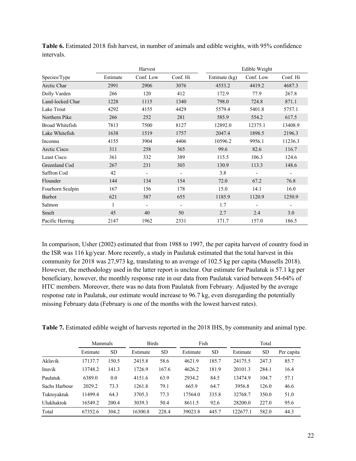|                        | Harvest  |                          |          | Edible Weight |                          |          |  |
|------------------------|----------|--------------------------|----------|---------------|--------------------------|----------|--|
| Species/Type           | Estimate | Conf. Low                | Conf. Hi | Estimate (kg) | Conf. Low                | Conf. Hi |  |
| Arctic Char            | 2991     | 2906                     | 3076     | 4553.2        | 4419.2                   | 4687.3   |  |
| Dolly Varden           | 266      | 120                      | 412      | 172.9         | 77.9                     | 267.8    |  |
| Land-locked Char       | 1228     | 1115                     | 1340     | 798.0         | 724.8                    | 871.1    |  |
| Lake Trout             | 4292     | 4155                     | 4429     | 5579.4        | 5401.8                   | 5757.1   |  |
| Northern Pike          | 266      | 252                      | 281      | 585.9         | 554.2                    | 617.5    |  |
| <b>Broad Whitefish</b> | 7813     | 7500                     | 8127     | 12892.0       | 12375.1                  | 13408.9  |  |
| Lake Whitefish         | 1638     | 1519                     | 1757     | 2047.4        | 1898.5                   | 2196.3   |  |
| Inconnu                | 4155     | 3904                     | 4406     | 10596.2       | 9956.1                   | 11236.3  |  |
| <b>Arctic Cisco</b>    | 311      | 258                      | 365      | 99.6          | 82.6                     | 116.7    |  |
| Least Cisco            | 361      | 332                      | 389      | 115.5         | 106.3                    | 124.6    |  |
| Greenland Cod          | 267      | 231                      | 303      | 130.9         | 113.3                    | 148.6    |  |
| Saffron Cod            | 42       | $\overline{a}$           |          | 3.8           | $\qquad \qquad -$        |          |  |
| Flounder               | 144      | 134                      | 154      | 72.0          | 67.2                     | 76.8     |  |
| Fourhorn Sculpin       | 167      | 156                      | 178      | 15.0          | 14.1                     | 16.0     |  |
| <b>Burbot</b>          | 621      | 587                      | 655      | 1185.9        | 1120.9                   | 1250.9   |  |
| Salmon                 | 1        | $\overline{\phantom{a}}$ |          | 1.7           | $\overline{\phantom{a}}$ |          |  |
| Smelt                  | 45       | 40                       | 50       | 2.7           | 2.4                      | 3.0      |  |
| Pacific Herring        | 2147     | 1962                     | 2331     | 171.7         | 157.0                    | 186.5    |  |

**Table 6.** Estimated 2018 fish harvest, in number of animals and edible weights, with 95% confidence intervals.

In comparison, Usher (2002) estimated that from 1988 to 1997, the per capita harvest of country food in the ISR was 116 kg/year. More recently, a study in Paulatuk estimated that the total harvest in this community for 2018 was 27,973 kg, translating to an average of 102.5 kg per capita (Mussells 2018). However, the methodology used in the latter report is unclear. Our estimate for Paulatuk is 57.1 kg per beneficiary, however, the monthly response rate in our data from Paulatuk varied between 54-64% of HTC members. Moreover, there was no data from Paulatuk from February. Adjusted by the average response rate in Paulatuk, our estimate would increase to 96.7 kg, even disregarding the potentially missing February data (February is one of the months with the lowest harvest rates).

**Table 7.** Estimated edible weight of harvests reported in the 2018 IHS, by community and animal type.

|               | Mammals  |           | <b>Birds</b> |           | Fish     |           |          | Total     |            |
|---------------|----------|-----------|--------------|-----------|----------|-----------|----------|-----------|------------|
|               | Estimate | <b>SD</b> | Estimate     | <b>SD</b> | Estimate | <b>SD</b> | Estimate | <b>SD</b> | Per capita |
| Aklavik       | 17137.7  | 150.5     | 2415.8       | 58.6      | 4621.9   | 185.7     | 24175.5  | 247.3     | 85.7       |
| Inuvik        | 13748.2  | 141.3     | 1726.9       | 167.6     | 4626.2   | 181.9     | 20101.3  | 284.1     | 16.4       |
| Paulatuk      | 6389.0   | 0.0       | 4151.6       | 63.9      | 2934.2   | 84.5      | 13474.9  | 104.7     | 57.1       |
| Sachs Harbour | 2029.2   | 73.3      | 1261.8       | 79.1      | 665.9    | 64.7      | 3956.8   | 126.0     | 46.6       |
| Tuktoyaktuk   | 11499.4  | 64.3      | 3705.3       | 77.3      | 17564.0  | 335.8     | 32768.7  | 350.0     | 51.0       |
| Ulukhaktok    | 16549.2  | 200.4     | 3039.3       | 50.4      | 8611.5   | 92.6      | 28200.0  | 227.0     | 95.6       |
| Total         | 67352.6  | 304.2     | 16300.8      | 228.4     | 39023.8  | 445.7     | 122677.1 | 582.0     | 44.3       |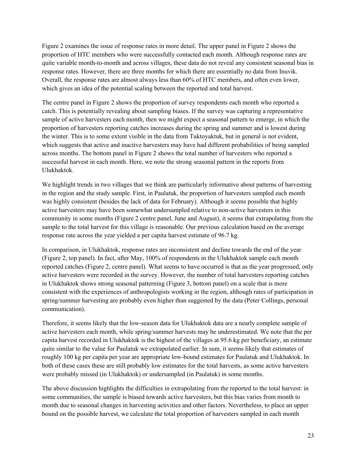Figure 2 examines the issue of response rates in more detail. The upper panel in Figure 2 shows the proportion of HTC members who were successfully contacted each month. Although response rates are quite variable month-to-month and across villages, these data do not reveal any consistent seasonal bias in response rates. However, there are three months for which there are essentially no data from Inuvik. Overall, the response rates are almost always less than 60% of HTC members, and often even lower, which gives an idea of the potential scaling between the reported and total harvest.

The centre panel in Figure 2 shows the proportion of survey respondents each month who reported a catch. This is potentially revealing about sampling biases. If the survey was capturing a representative sample of active harvesters each month, then we might expect a seasonal pattern to emerge, in which the proportion of harvesters reporting catches increases during the spring and summer and is lowest during the winter. This is to some extent visible in the data from Tuktoyaktuk, but in general is not evident, which suggests that active and inactive harvesters may have had different probabilities of being sampled across months. The bottom panel in Figure 2 shows the total number of harvesters who reported a successful harvest in each month. Here, we note the strong seasonal pattern in the reports from Ulukhaktok.

We highlight trends in two villages that we think are particularly informative about patterns of harvesting in the region and the study sample. First, in Paulatuk, the proportion of harvesters sampled each month was highly consistent (besides the lack of data for February). Although it seems possible that highly active harvesters may have been somewhat undersampled relative to non-active harvesters in this community in some months (Figure 2 centre panel, June and August), it seems that extrapolating from the sample to the total harvest for this village is reasonable. Our previous calculation based on the average response rate across the year yielded a per capita harvest estimate of 96.7 kg.

In comparison, in Ulukhaktok, response rates are inconsistent and decline towards the end of the year (Figure 2, top panel). In fact, after May, 100% of respondents in the Ulukhaktok sample each month reported catches (Figure 2, centre panel). What seems to have occurred is that as the year progressed, only active harvesters were recorded in the survey. However, the number of total harvesters reporting catches in Ulukhaktok shows strong seasonal patterning (Figure 3, bottom panel) on a scale that is more consistent with the experiences of anthropologists working in the region, although rates of participation in spring/summer harvesting are probably even higher than suggested by the data (Peter Collings, personal communication).

Therefore, it seems likely that the low-season data for Ulukhaktok data are a nearly complete sample of active harvesters each month, while spring/summer harvests may be underestimated. We note that the per capita harvest recorded in Ulukhaktok is the highest of the villages at 95.6 kg per beneficiary, an estimate quite similar to the value for Paulatuk we extrapolated earlier. In sum, it seems likely that estimates of roughly 100 kg per capita per year are appropriate low-bound estimates for Paulatuk and Ulukhaktok. In both of these cases these are still probably low estimates for the total harvests, as some active harvesters were probably missed (in Ulukhaktok) or undersampled (in Paulatuk) in some months.

The above discussion highlights the difficulties in extrapolating from the reported to the total harvest: in some communities, the sample is biased towards active harvesters, but this bias varies from month to month due to seasonal changes in harvesting activities and other factors. Nevertheless, to place an upper bound on the possible harvest, we calculate the total proportion of harvesters sampled in each month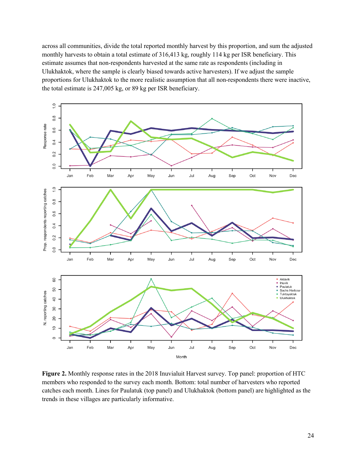across all communities, divide the total reported monthly harvest by this proportion, and sum the adjusted monthly harvests to obtain a total estimate of 316,413 kg, roughly 114 kg per ISR beneficiary. This estimate assumes that non-respondents harvested at the same rate as respondents (including in Ulukhaktok, where the sample is clearly biased towards active harvesters). If we adjust the sample proportions for Ulukhaktok to the more realistic assumption that all non-respondents there were inactive, the total estimate is 247,005 kg, or 89 kg per ISR beneficiary.



**Figure 2.** Monthly response rates in the 2018 Inuvialuit Harvest survey. Top panel: proportion of HTC members who responded to the survey each month. Bottom: total number of harvesters who reported catches each month. Lines for Paulatuk (top panel) and Ulukhaktok (bottom panel) are highlighted as the trends in these villages are particularly informative.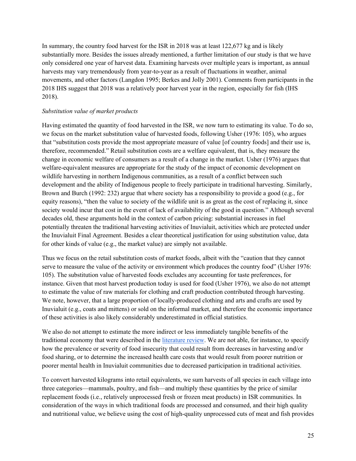In summary, the country food harvest for the ISR in 2018 was at least 122,677 kg and is likely substantially more. Besides the issues already mentioned, a further limitation of our study is that we have only considered one year of harvest data. Examining harvests over multiple years is important, as annual harvests may vary tremendously from year-to-year as a result of fluctuations in weather, animal movements, and other factors (Langdon 1995; Berkes and Jolly 2001). Comments from participants in the 2018 IHS suggest that 2018 was a relatively poor harvest year in the region, especially for fish (IHS 2018).

### *Substitution value of market products*

Having estimated the quantity of food harvested in the ISR, we now turn to estimating its value. To do so, we focus on the market substitution value of harvested foods, following Usher (1976: 105), who argues that "substitution costs provide the most appropriate measure of value [of country foods] and their use is, therefore, recommended." Retail substitution costs are a welfare equivalent, that is, they measure the change in economic welfare of consumers as a result of a change in the market. Usher (1976) argues that welfare-equivalent measures are appropriate for the study of the impact of economic development on wildlife harvesting in northern Indigenous communities, as a result of a conflict between such development and the ability of Indigenous people to freely participate in traditional harvesting. Similarly, Brown and Burch (1992: 232) argue that where society has a responsibility to provide a good (e.g., for equity reasons), "then the value to society of the wildlife unit is as great as the cost of replacing it, since society would incur that cost in the event of lack of availability of the good in question." Although several decades old, these arguments hold in the context of carbon pricing: substantial increases in fuel potentially threaten the traditional harvesting activities of Inuvialuit, activities which are protected under the Inuvialuit Final Agreement. Besides a clear theoretical justification for using substitution value, data for other kinds of value (e.g., the market value) are simply not available.

Thus we focus on the retail substitution costs of market foods, albeit with the "caution that they cannot serve to measure the value of the activity or environment which produces the country food" (Usher 1976: 105). The substitution value of harvested foods excludes any accounting for taste preferences, for instance. Given that most harvest production today is used for food (Usher 1976), we also do not attempt to estimate the value of raw materials for clothing and craft production contributed through harvesting. We note, however, that a large proportion of locally-produced clothing and arts and crafts are used by Inuvialuit (e.g., coats and mittens) or sold on the informal market, and therefore the economic importance of these activities is also likely considerably underestimated in official statistics.

We also do not attempt to estimate the more indirect or less immediately tangible benefits of the traditional economy that were described in the literature review. We are not able, for instance, to specify how the prevalence or severity of food insecurity that could result from decreases in harvesting and/or food sharing, or to determine the increased health care costs that would result from poorer nutrition or poorer mental health in Inuvialuit communities due to decreased participation in traditional activities.

To convert harvested kilograms into retail equivalents, we sum harvests of all species in each village into three categories—mammals, poultry, and fish—and multiply these quantities by the price of similar replacement foods (i.e., relatively unprocessed fresh or frozen meat products) in ISR communities. In consideration of the ways in which traditional foods are processed and consumed, and their high quality and nutritional value, we believe using the cost of high-quality unprocessed cuts of meat and fish provides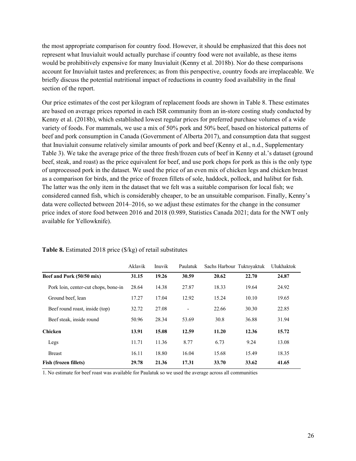the most appropriate comparison for country food. However, it should be emphasized that this does not represent what Inuvialuit would actually purchase if country food were not available, as these items would be prohibitively expensive for many Inuvialuit (Kenny et al. 2018b). Nor do these comparisons account for Inuvialuit tastes and preferences; as from this perspective, country foods are irreplaceable. We briefly discuss the potential nutritional impact of reductions in country food availability in the final section of the report.

Our price estimates of the cost per kilogram of replacement foods are shown in Table 8. These estimates are based on average prices reported in each ISR community from an in-store costing study conducted by Kenny et al. (2018b), which established lowest regular prices for preferred purchase volumes of a wide variety of foods. For mammals, we use a mix of 50% pork and 50% beef, based on historical patterns of beef and pork consumption in Canada (Government of Alberta 2017), and consumption data that suggest that Inuvialuit consume relatively similar amounts of pork and beef (Kenny et al., n.d., Supplementary Table 3). We take the average price of the three fresh/frozen cuts of beef in Kenny et al.'s dataset (ground beef, steak, and roast) as the price equivalent for beef, and use pork chops for pork as this is the only type of unprocessed pork in the dataset. We used the price of an even mix of chicken legs and chicken breast as a comparison for birds, and the price of frozen fillets of sole, haddock, pollock, and halibut for fish. The latter was the only item in the dataset that we felt was a suitable comparison for local fish; we considered canned fish, which is considerably cheaper, to be an unsuitable comparison. Finally, Kenny's data were collected between 2014–2016, so we adjust these estimates for the change in the consumer price index of store food between 2016 and 2018 (0.989, Statistics Canada 2021; data for the NWT only available for Yellowknife).

|                                      | Aklavik | Inuvik | Paulatuk | Sachs Harbour Tuktoyaktuk |       | Ulukhaktok |
|--------------------------------------|---------|--------|----------|---------------------------|-------|------------|
| Beef and Pork (50/50 mix)            | 31.15   | 19.26  | 30.59    | 20.62                     | 22.70 | 24.87      |
| Pork loin, center-cut chops, bone-in | 28.64   | 14.38  | 27.87    | 18.33                     | 19.64 | 24.92      |
| Ground beef, lean                    | 17.27   | 17.04  | 12.92    | 15.24                     | 10.10 | 19.65      |
| Beef round roast, inside (top)       | 32.72   | 27.08  | ٠        | 22.66                     | 30.30 | 22.85      |
| Beef steak, inside round             | 50.96   | 28.34  | 53.69    | 30.8                      | 36.88 | 31.94      |
| <b>Chicken</b>                       | 13.91   | 15.08  | 12.59    | 11.20                     | 12.36 | 15.72      |
| Legs                                 | 11.71   | 11.36  | 8.77     | 6.73                      | 9.24  | 13.08      |
| <b>Breast</b>                        | 16.11   | 18.80  | 16.04    | 15.68                     | 15.49 | 18.35      |
| <b>Fish (frozen fillets)</b>         | 29.78   | 21.36  | 17.31    | 33.70                     | 33.62 | 41.65      |

#### **Table 8.** Estimated 2018 price (\$/kg) of retail substitutes

1. No estimate for beef roast was available for Paulatuk so we used the average across all communities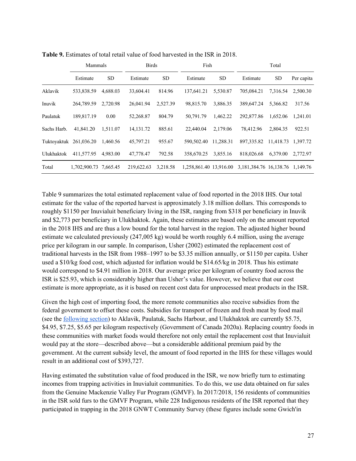|             | Mammals                |           | <b>Birds</b> |           | Fish                   |           |                             | Total     |            |
|-------------|------------------------|-----------|--------------|-----------|------------------------|-----------|-----------------------------|-----------|------------|
|             | Estimate               | <b>SD</b> | Estimate     | <b>SD</b> | Estimate               | <b>SD</b> | Estimate                    | SD        | Per capita |
| Aklavik     | 533,838.59             | 4,688.03  | 33,604.41    | 814.96    | 137,641.21             | 5,530.87  | 705.084.21                  | 7.316.54  | 2,500.30   |
| Inuvik      | 264,789.59             | 2,720.98  | 26,041.94    | 2,527.39  | 98,815.70              | 3,886.35  | 389,647.24                  | 5,366.82  | 317.56     |
| Paulatuk    | 189,817.19             | 0.00      | 52,268.87    | 804.79    | 50,791.79              | 1.462.22  | 292,877.86                  | 1.652.06  | 1.241.01   |
| Sachs Harb. | 41,841.20              | 1.511.07  | 14, 131. 72  | 885.61    | 22,440.04              | 2,179.06  | 78,412.96                   | 2,804.35  | 922.51     |
|             | Tuktoyaktuk 261,036.20 | 1.460.56  | 45,797.21    | 955.67    | 590,502.40             | 11.288.31 | 897.335.82                  | 11,418.73 | 1,397.72   |
| Ulukhaktok  | 411,577.95             | 4.983.00  | 47,778.47    | 792.58    | 358,670.25             | 3,855.16  | 818,026.68                  | 6,379.00  | 2,772.97   |
| Total       | 1,702,900.73 7,665.45  |           | 219,622.63   | 3,218.58  | 1,258,861.40 13,916.00 |           | 3, 181, 384. 76 16, 138. 76 |           | 1.149.76   |

**Table 9.** Estimates of total retail value of food harvested in the ISR in 2018.

Table 9 summarizes the total estimated replacement value of food reported in the 2018 IHS. Our total estimate for the value of the reported harvest is approximately 3.18 million dollars. This corresponds to roughly \$1150 per Inuvialuit beneficiary living in the ISR, ranging from \$318 per beneficiary in Inuvik and \$2,773 per beneficiary in Ulukhaktok. Again, these estimates are based only on the amount reported in the 2018 IHS and are thus a low bound for the total harvest in the region. The adjusted higher bound estimate we calculated previously (247,005 kg) would be worth roughly 6.4 million, using the average price per kilogram in our sample. In comparison, Usher (2002) estimated the replacement cost of traditional harvests in the ISR from 1988–1997 to be \$3.35 million annually, or \$1150 per capita. Usher used a \$10/kg food cost, which adjusted for inflation would be \$14.65/kg in 2018. Thus his estimate would correspond to \$4.91 million in 2018. Our average price per kilogram of country food across the ISR is \$25.93, which is considerably higher than Usher's value. However, we believe that our cost estimate is more appropriate, as it is based on recent cost data for unprocessed meat products in the ISR.

Given the high cost of importing food, the more remote communities also receive subsidies from the federal government to offset these costs. Subsidies for transport of frozen and fresh meat by food mail (see the following section) to Aklavik, Paulatuk, Sachs Harbour, and Ulukhaktok are currently \$5.75, \$4.95, \$7.25, \$5.65 per kilogram respectively (Government of Canada 2020a). Replacing country foods in these communities with market foods would therefore not only entail the replacement cost that Inuvialuit would pay at the store—described above—but a considerable additional premium paid by the government. At the current subsidy level, the amount of food reported in the IHS for these villages would result in an additional cost of \$393,727.

Having estimated the substitution value of food produced in the ISR, we now briefly turn to estimating incomes from trapping activities in Inuvialuit communities. To do this, we use data obtained on fur sales from the Genuine Mackenzie Valley Fur Program (GMVF). In 2017/2018, 156 residents of communities in the ISR sold furs to the GMVF Program, while 228 Indigenous residents of the ISR reported that they participated in trapping in the 2018 GNWT Community Survey (these figures include some Gwich'in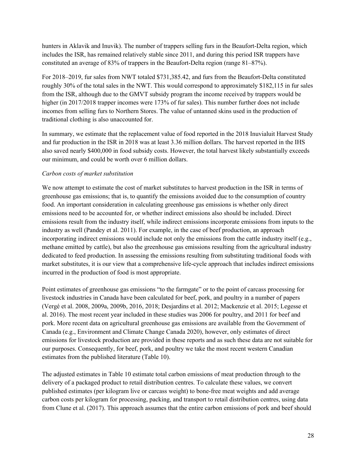hunters in Aklavik and Inuvik). The number of trappers selling furs in the Beaufort-Delta region, which includes the ISR, has remained relatively stable since 2011, and during this period ISR trappers have constituted an average of 83% of trappers in the Beaufort-Delta region (range 81–87%).

For 2018–2019, fur sales from NWT totaled \$731,385.42, and furs from the Beaufort-Delta constituted roughly 30% of the total sales in the NWT. This would correspond to approximately \$182,115 in fur sales from the ISR, although due to the GMVT subsidy program the income received by trappers would be higher (in 2017/2018 trapper incomes were 173% of fur sales). This number further does not include incomes from selling furs to Northern Stores. The value of untanned skins used in the production of traditional clothing is also unaccounted for.

In summary, we estimate that the replacement value of food reported in the 2018 Inuvialuit Harvest Study and fur production in the ISR in 2018 was at least 3.36 million dollars. The harvest reported in the IHS also saved nearly \$400,000 in food subsidy costs. However, the total harvest likely substantially exceeds our minimum, and could be worth over 6 million dollars.

### *Carbon costs of market substitution*

We now attempt to estimate the cost of market substitutes to harvest production in the ISR in terms of greenhouse gas emissions; that is, to quantify the emissions avoided due to the consumption of country food. An important consideration in calculating greenhouse gas emissions is whether only direct emissions need to be accounted for, or whether indirect emissions also should be included. Direct emissions result from the industry itself, while indirect emissions incorporate emissions from inputs to the industry as well (Pandey et al. 2011). For example, in the case of beef production, an approach incorporating indirect emissions would include not only the emissions from the cattle industry itself (e.g., methane emitted by cattle), but also the greenhouse gas emissions resulting from the agricultural industry dedicated to feed production. In assessing the emissions resulting from substituting traditional foods with market substitutes, it is our view that a comprehensive life-cycle approach that includes indirect emissions incurred in the production of food is most appropriate.

Point estimates of greenhouse gas emissions "to the farmgate" or to the point of carcass processing for livestock industries in Canada have been calculated for beef, pork, and poultry in a number of papers (Vergé et al. 2008, 2009a, 2009b, 2016, 2018; Desjardins et al. 2012; Mackenzie et al. 2015; Legesse et al. 2016). The most recent year included in these studies was 2006 for poultry, and 2011 for beef and pork. More recent data on agricultural greenhouse gas emissions are available from the Government of Canada (e.g., Environment and Climate Change Canada 2020), however, only estimates of direct emissions for livestock production are provided in these reports and as such these data are not suitable for our purposes. Consequently, for beef, pork, and poultry we take the most recent western Canadian estimates from the published literature (Table 10).

The adjusted estimates in Table 10 estimate total carbon emissions of meat production through to the delivery of a packaged product to retail distribution centres. To calculate these values, we convert published estimates (per kilogram live or carcass weight) to bone-free meat weights and add average carbon costs per kilogram for processing, packing, and transport to retail distribution centres, using data from Clune et al. (2017). This approach assumes that the entire carbon emissions of pork and beef should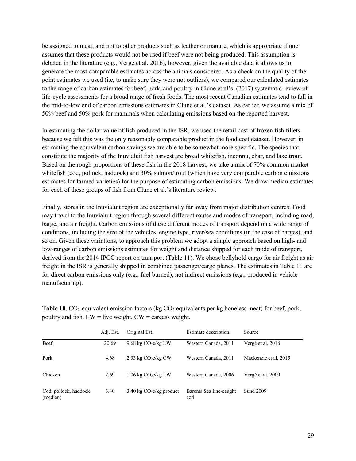be assigned to meat, and not to other products such as leather or manure, which is appropriate if one assumes that these products would not be used if beef were not being produced. This assumption is debated in the literature (e.g., Vergé et al. 2016), however, given the available data it allows us to generate the most comparable estimates across the animals considered. As a check on the quality of the point estimates we used (i.e, to make sure they were not outliers), we compared our calculated estimates to the range of carbon estimates for beef, pork, and poultry in Clune et al's. (2017) systematic review of life-cycle assessments for a broad range of fresh foods. The most recent Canadian estimates tend to fall in the mid-to-low end of carbon emissions estimates in Clune et al.'s dataset. As earlier, we assume a mix of 50% beef and 50% pork for mammals when calculating emissions based on the reported harvest.

In estimating the dollar value of fish produced in the ISR, we used the retail cost of frozen fish fillets because we felt this was the only reasonably comparable product in the food cost dataset. However, in estimating the equivalent carbon savings we are able to be somewhat more specific. The species that constitute the majority of the Inuvialuit fish harvest are broad whitefish, inconnu, char, and lake trout. Based on the rough proportions of these fish in the 2018 harvest, we take a mix of 70% common market whitefish (cod, pollock, haddock) and 30% salmon/trout (which have very comparable carbon emissions estimates for farmed varieties) for the purpose of estimating carbon emissions. We draw median estimates for each of these groups of fish from Clune et al.'s literature review.

Finally, stores in the Inuvialuit region are exceptionally far away from major distribution centres. Food may travel to the Inuvialuit region through several different routes and modes of transport, including road, barge, and air freight. Carbon emissions of these different modes of transport depend on a wide range of conditions, including the size of the vehicles, engine type, river/sea conditions (in the case of barges), and so on. Given these variations, to approach this problem we adopt a simple approach based on high- and low-ranges of carbon emissions estimates for weight and distance shipped for each mode of transport, derived from the 2014 IPCC report on transport (Table 11). We chose bellyhold cargo for air freight as air freight in the ISR is generally shipped in combined passenger/cargo planes. The estimates in Table 11 are for direct carbon emissions only (e.g., fuel burned), not indirect emissions (e.g., produced in vehicle manufacturing).

**Table 10.** CO<sub>2</sub>-equivalent emission factors (kg CO<sub>2</sub> equivalents per kg boneless meat) for beef, pork, poultry and fish.  $LW =$  live weight,  $CW =$  carcass weight.

|                                   | Adj. Est. | Original Est.                      | Estimate description           | Source                |
|-----------------------------------|-----------|------------------------------------|--------------------------------|-----------------------|
| Beef                              | 20.69     | 9.68 kg $CO2$ e/kg LW              | Western Canada, 2011           | Vergé et al. 2018     |
| Pork                              | 4.68      | 2.33 kg $CO2ekg CW$                | Western Canada, 2011           | Mackenzie et al. 2015 |
| Chicken                           | 2.69      | $1.06 \text{ kg CO}_2$ e/kg LW     | Western Canada, 2006           | Vergé et al. 2009     |
| Cod, pollock, haddock<br>(median) | 3.40      | $3.40 \text{ kg } CO2e/kg$ product | Barents Sea line-caught<br>cod | <b>Sund 2009</b>      |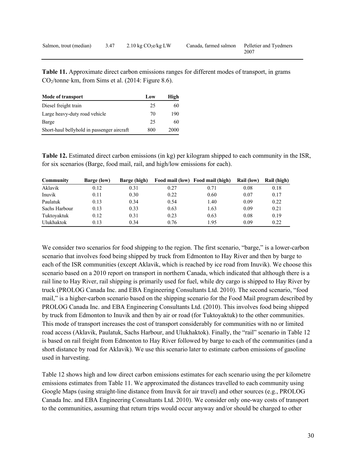| Salmon, trout (median) 3.47 | $2.10 \text{ kg CO}_2$ e/kg LW | Canada, farmed salmon Pelletier and Tyedmers |      |
|-----------------------------|--------------------------------|----------------------------------------------|------|
|                             |                                |                                              | 2007 |

**Table 11.** Approximate direct carbon emissions ranges for different modes of transport, in grams CO2/tonne·km, from Sims et al. (2014: Figure 8.6).

| Mode of transport                          | Low | High |
|--------------------------------------------|-----|------|
| Diesel freight train                       | 25  | 60   |
| Large heavy-duty road vehicle              | 70  | 190  |
| Barge                                      | 25  | 60   |
| Short-haul bellyhold in passenger aircraft | 800 | 2000 |

**Table 12.** Estimated direct carbon emissions (in kg) per kilogram shipped to each community in the ISR, for six scenarios (Barge, food mail, rail, and high/low emissions for each).

| Community         | Barge (low) | Barge (high) |      | Food mail (low) Food mail (high) | <b>Rail (low)</b> | Rail (high) |
|-------------------|-------------|--------------|------|----------------------------------|-------------------|-------------|
| Aklavik           | 0.12        | 0.31         | 0.27 | 0.71                             | 0.08              | 0.18        |
| Inuvik            | 0.11        | 0.30         | 0.22 | 0.60                             | 0.07              | 0.17        |
| Paulatuk          | 0.13        | 0.34         | 0.54 | 1.40                             | 0.09              | 0.22        |
| Sachs Harbour     | 0.13        | 0.33         | 0.63 | 1.63                             | 0.09              | 0.21        |
| Tuktoyaktuk       | 0.12        | 0.31         | 0.23 | 0.63                             | 0.08              | 0.19        |
| <b>Ulukhaktok</b> | 0.13        | 0.34         | 0.76 | 1.95                             | 0.09              | 0.22        |

We consider two scenarios for food shipping to the region. The first scenario, "barge," is a lower-carbon scenario that involves food being shipped by truck from Edmonton to Hay River and then by barge to each of the ISR communities (except Aklavik, which is reached by ice road from Inuvik). We choose this scenario based on a 2010 report on transport in northern Canada, which indicated that although there is a rail line to Hay River, rail shipping is primarily used for fuel, while dry cargo is shipped to Hay River by truck (PROLOG Canada Inc. and EBA Engineering Consultants Ltd. 2010). The second scenario, "food mail," is a higher-carbon scenario based on the shipping scenario for the Food Mail program described by PROLOG Canada Inc. and EBA Engineering Consultants Ltd. (2010). This involves food being shipped by truck from Edmonton to Inuvik and then by air or road (for Tuktoyaktuk) to the other communities. This mode of transport increases the cost of transport considerably for communities with no or limited road access (Aklavik, Paulatuk, Sachs Harbour, and Ulukhaktok). Finally, the "rail" scenario in Table 12 is based on rail freight from Edmonton to Hay River followed by barge to each of the communities (and a short distance by road for Aklavik). We use this scenario later to estimate carbon emissions of gasoline used in harvesting.

Table 12 shows high and low direct carbon emissions estimates for each scenario using the per kilometre emissions estimates from Table 11. We approximated the distances travelled to each community using Google Maps (using straight-line distance from Inuvik for air travel) and other sources (e.g., PROLOG Canada Inc. and EBA Engineering Consultants Ltd. 2010). We consider only one-way costs of transport to the communities, assuming that return trips would occur anyway and/or should be charged to other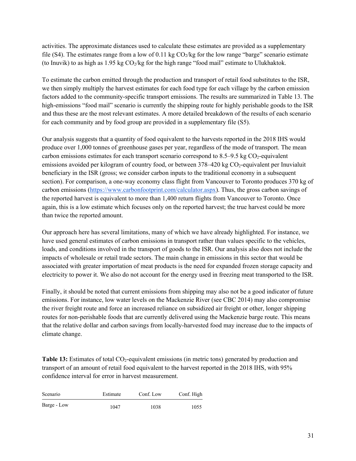activities. The approximate distances used to calculate these estimates are provided as a supplementary file (S4). The estimates range from a low of 0.11 kg  $CO_2/kg$  for the low range "barge" scenario estimate (to Inuvik) to as high as  $1.95 \text{ kg CO}_2/\text{kg}$  for the high range "food mail" estimate to Ulukhaktok.

To estimate the carbon emitted through the production and transport of retail food substitutes to the ISR, we then simply multiply the harvest estimates for each food type for each village by the carbon emission factors added to the community-specific transport emissions. The results are summarized in Table 13. The high-emissions "food mail" scenario is currently the shipping route for highly perishable goods to the ISR and thus these are the most relevant estimates. A more detailed breakdown of the results of each scenario for each community and by food group are provided in a supplementary file (S5).

Our analysis suggests that a quantity of food equivalent to the harvests reported in the 2018 IHS would produce over 1,000 tonnes of greenhouse gases per year, regardless of the mode of transport. The mean carbon emissions estimates for each transport scenario correspond to  $8.5-9.5$  kg CO<sub>2</sub>-equivalent emissions avoided per kilogram of country food, or between 378–420 kg CO<sub>2</sub>-equivalent per Inuvialuit beneficiary in the ISR (gross; we consider carbon inputs to the traditional economy in a subsequent section). For comparison, a one-way economy class flight from Vancouver to Toronto produces 370 kg of carbon emissions (https://www.carbonfootprint.com/calculator.aspx). Thus, the gross carbon savings of the reported harvest is equivalent to more than 1,400 return flights from Vancouver to Toronto. Once again, this is a low estimate which focuses only on the reported harvest; the true harvest could be more than twice the reported amount.

Our approach here has several limitations, many of which we have already highlighted. For instance, we have used general estimates of carbon emissions in transport rather than values specific to the vehicles, loads, and conditions involved in the transport of goods to the ISR. Our analysis also does not include the impacts of wholesale or retail trade sectors. The main change in emissions in this sector that would be associated with greater importation of meat products is the need for expanded frozen storage capacity and electricity to power it. We also do not account for the energy used in freezing meat transported to the ISR.

Finally, it should be noted that current emissions from shipping may also not be a good indicator of future emissions. For instance, low water levels on the Mackenzie River (see CBC 2014) may also compromise the river freight route and force an increased reliance on subsidized air freight or other, longer shipping routes for non-perishable foods that are currently delivered using the Mackenzie barge route. This means that the relative dollar and carbon savings from locally-harvested food may increase due to the impacts of climate change.

Table 13: Estimates of total CO<sub>2</sub>-equivalent emissions (in metric tons) generated by production and transport of an amount of retail food equivalent to the harvest reported in the 2018 IHS, with 95% confidence interval for error in harvest measurement.

| Scenario    | Estimate | Conf. Low | Conf. High |
|-------------|----------|-----------|------------|
| Barge - Low | 1047     | 1038      | 1055       |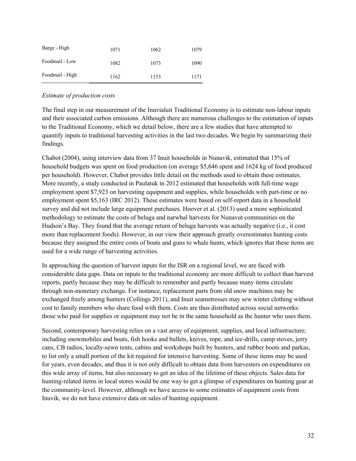| Barge - High    | 1071 | 1062 | 1079 |
|-----------------|------|------|------|
| Foodmail - Low  | 1082 | 1073 | 1090 |
| Foodmail - High | 1162 | 1153 | 1171 |

### *Estimate of production costs*

The final step in our measurement of the Inuvialuit Traditional Economy is to estimate non-labour inputs and their associated carbon emissions. Although there are numerous challenges to the estimation of inputs to the Traditional Economy, which we detail below, there are a few studies that have attempted to quantify inputs to traditional harvesting activities in the last two decades. We begin by summarizing their findings.

Chabot (2004), using interview data from 37 Inuit households in Nunavik, estimated that 15% of household budgets was spent on food production (on average \$5,646 spent and 1624 kg of food produced per household). However, Chabot provides little detail on the methods used to obtain these estimates. More recently, a study conducted in Paulatuk in 2012 estimated that households with full-time wage employment spent \$7,923 on harvesting equipment and supplies, while households with part-time or no employment spent \$5,163 (IRC 2012). These estimates were based on self-report data in a household survey and did not include large equipment purchases. Hoover et al. (2013) used a more sophisticated methodology to estimate the costs of beluga and narwhal harvests for Nunavut communities on the Hudson's Bay. They found that the average return of beluga harvests was actually negative (i.e., it cost more than replacement foods). However, in our view their approach greatly overestimates hunting costs because they assigned the entire costs of boats and guns to whale hunts, which ignores that these items are used for a wide range of harvesting activities.

In approaching the question of harvest inputs for the ISR on a regional level, we are faced with considerable data gaps. Data on inputs to the traditional economy are more difficult to collect than harvest reports, partly because they may be difficult to remember and partly because many items circulate through non-monetary exchange. For instance, replacement parts from old snow machines may be exchanged freely among hunters (Collings 2011), and Inuit seamstresses may sew winter clothing without cost to family members who share food with them. Costs are thus distributed across social networks: those who paid for supplies or equipment may not be in the same household as the hunter who uses them.

Second, contemporary harvesting relies on a vast array of equipment, supplies, and local infrastructure; including snowmobiles and boats, fish hooks and bullets, knives, rope, and ice-drills, camp stoves, jerry cans, CB radios, locally-sewn tents, cabins and workshops built by hunters, and rubber boots and parkas, to list only a small portion of the kit required for intensive harvesting. Some of these items may be used for years, even decades, and thus it is not only difficult to obtain data from harvesters on expenditures on this wide array of items, but also necessary to get an idea of the lifetime of these objects. Sales data for hunting-related items in local stores would be one way to get a glimpse of expenditures on hunting gear at the community-level. However, although we have access to some estimates of equipment costs from Inuvik, we do not have extensive data on sales of hunting equipment.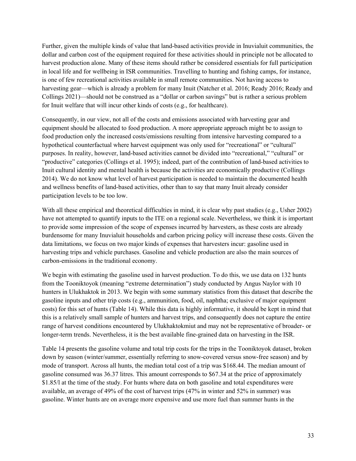Further, given the multiple kinds of value that land-based activities provide in Inuvialuit communities, the dollar and carbon cost of the equipment required for these activities should in principle not be allocated to harvest production alone. Many of these items should rather be considered essentials for full participation in local life and for wellbeing in ISR communities. Travelling to hunting and fishing camps, for instance, is one of few recreational activities available in small remote communities. Not having access to harvesting gear—which is already a problem for many Inuit (Natcher et al. 2016; Ready 2016; Ready and Collings 2021)—should not be construed as a "dollar or carbon savings" but is rather a serious problem for Inuit welfare that will incur other kinds of costs (e.g., for healthcare).

Consequently, in our view, not all of the costs and emissions associated with harvesting gear and equipment should be allocated to food production. A more appropriate approach might be to assign to food production only the increased costs/emissions resulting from intensive harvesting compared to a hypothetical counterfactual where harvest equipment was only used for "recreational" or "cultural" purposes. In reality, however, land-based activities cannot be divided into "recreational," "cultural" or "productive" categories (Collings et al. 1995); indeed, part of the contribution of land-based activities to Inuit cultural identity and mental health is because the activities are economically productive (Collings 2014). We do not know what level of harvest participation is needed to maintain the documented health and wellness benefits of land-based activities, other than to say that many Inuit already consider participation levels to be too low.

With all these empirical and theoretical difficulties in mind, it is clear why past studies (e.g., Usher 2002) have not attempted to quantify inputs to the ITE on a regional scale. Nevertheless, we think it is important to provide some impression of the scope of expenses incurred by harvesters, as these costs are already burdensome for many Inuvialuit households and carbon pricing policy will increase these costs. Given the data limitations, we focus on two major kinds of expenses that harvesters incur: gasoline used in harvesting trips and vehicle purchases. Gasoline and vehicle production are also the main sources of carbon-emissions in the traditional economy.

We begin with estimating the gasoline used in harvest production. To do this, we use data on 132 hunts from the Tooniktoyok (meaning "extreme determination") study conducted by Angus Naylor with 10 hunters in Ulukhaktok in 2013. We begin with some summary statistics from this dataset that describe the gasoline inputs and other trip costs (e.g., ammunition, food, oil, naphtha; exclusive of major equipment costs) for this set of hunts (Table 14). While this data is highly informative, it should be kept in mind that this is a relatively small sample of hunters and harvest trips, and consequently does not capture the entire range of harvest conditions encountered by Ulukhaktokmiut and may not be representative of broader- or longer-term trends. Nevertheless, it is the best available fine-grained data on harvesting in the ISR.

Table 14 presents the gasoline volume and total trip costs for the trips in the Tooniktoyok dataset, broken down by season (winter/summer, essentially referring to snow-covered versus snow-free season) and by mode of transport. Across all hunts, the median total cost of a trip was \$168.44. The median amount of gasoline consumed was 36.37 litres. This amount corresponds to \$67.34 at the price of approximately \$1.85/l at the time of the study. For hunts where data on both gasoline and total expenditures were available, an average of 49% of the cost of harvest trips (47% in winter and 52% in summer) was gasoline. Winter hunts are on average more expensive and use more fuel than summer hunts in the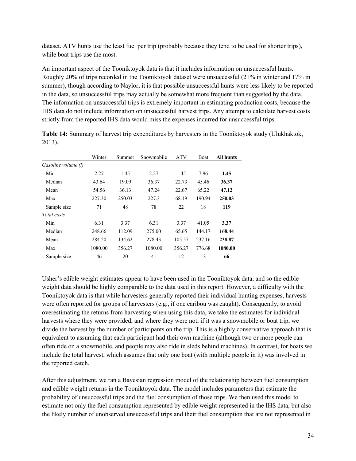dataset. ATV hunts use the least fuel per trip (probably because they tend to be used for shorter trips), while boat trips use the most.

An important aspect of the Tooniktoyok data is that it includes information on unsuccessful hunts. Roughly 20% of trips recorded in the Tooniktoyok dataset were unsuccessful (21% in winter and 17% in summer), though according to Naylor, it is that possible unsuccessful hunts were less likely to be reported in the data, so unsuccessful trips may actually be somewhat more frequent than suggested by the data. The information on unsuccessful trips is extremely important in estimating production costs, because the IHS data do not include information on unsuccessful harvest trips. Any attempt to calculate harvest costs strictly from the reported IHS data would miss the expenses incurred for unsuccessful trips.

|                     | Winter  | Summer | Snowmobile | <b>ATV</b> | <b>Boat</b> | <b>All hunts</b> |
|---------------------|---------|--------|------------|------------|-------------|------------------|
| Gasoline volume (l) |         |        |            |            |             |                  |
| Min                 | 2.27    | 1.45   | 2.27       | 1.45       | 7.96        | 1.45             |
| Median              | 43.64   | 19.09  | 36.37      | 22.73      | 45.46       | 36.37            |
| Mean                | 54.56   | 36.13  | 47.24      | 22.67      | 65.22       | 47.12            |
| Max                 | 227.30  | 250.03 | 227.3      | 68.19      | 190.94      | 250.03           |
| Sample size         | 71      | 48     | 78         | 22         | 18          | 119              |
| Total costs         |         |        |            |            |             |                  |
| Min                 | 6.31    | 3.37   | 6.31       | 3.37       | 41.05       | 3.37             |
| Median              | 248.66  | 112.09 | 275.00     | 65.65      | 144.17      | 168.44           |
| Mean                | 284.20  | 134.62 | 278.43     | 105.57     | 237.16      | 238.87           |
| Max                 | 1080.00 | 356.27 | 1080.00    | 356.27     | 776.68      | 1080.00          |
| Sample size         | 46      | 20     | 41         | 12         | 13          | 66               |

**Table 14:** Summary of harvest trip expenditures by harvesters in the Tooniktoyok study (Ulukhaktok, 2013).

Usher's edible weight estimates appear to have been used in the Tooniktoyok data, and so the edible weight data should be highly comparable to the data used in this report. However, a difficulty with the Tooniktoyok data is that while harvesters generally reported their individual hunting expenses, harvests were often reported for groups of harvesters (e.g., if one caribou was caught). Consequently, to avoid overestimating the returns from harvesting when using this data, we take the estimates for individual harvests where they were provided, and where they were not, if it was a snowmobile or boat trip, we divide the harvest by the number of participants on the trip. This is a highly conservative approach that is equivalent to assuming that each participant had their own machine (although two or more people can often ride on a snowmobile, and people may also ride in sleds behind machines). In contrast, for boats we include the total harvest, which assumes that only one boat (with multiple people in it) was involved in the reported catch.

After this adjustment, we ran a Bayesian regression model of the relationship between fuel consumption and edible weight returns in the Tooniktoyok data. The model includes parameters that estimate the probability of unsuccessful trips and the fuel consumption of those trips. We then used this model to estimate not only the fuel consumption represented by edible weight represented in the IHS data, but also the likely number of unobserved unsuccessful trips and their fuel consumption that are not represented in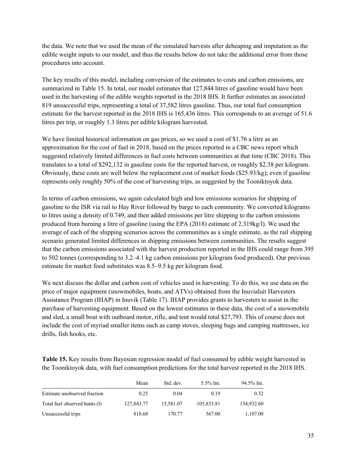the data. We note that we used the mean of the simulated harvests after deheaping and imputation as the edible weight inputs to our model, and thus the results below do not take the additional error from those procedures into account.

The key results of this model, including conversion of the estimates to costs and carbon emissions, are summarized in Table 15. In total, our model estimates that 127,844 litres of gasoline would have been used in the harvesting of the edible weights reported in the 2018 IHS. It further estimates an associated 819 unsuccessful trips, representing a total of 37,582 litres gasoline. Thus, our total fuel consumption estimate for the harvest reported in the 2018 IHS is 165,436 litres. This corresponds to an average of 51.6 litres per trip, or roughly 1.3 litres per edible kilogram harvested.

We have limited historical information on gas prices, so we used a cost of \$1.76 a litre as an approximation for the cost of fuel in 2018, based on the prices reported in a CBC news report which suggested relatively limited differences in fuel costs between communities at that time (CBC 2018). This translates to a total of \$292,132 in gasoline costs for the reported harvest, or roughly \$2.38 per kilogram. Obviously, these costs are well below the replacement cost of market foods (\$25.93/kg); even if gasoline represents only roughly 50% of the cost of harvesting trips, as suggested by the Tooniktoyok data.

In terms of carbon emissions, we again calculated high and low emissions scenarios for shipping of gasoline to the ISR via rail to Hay River followed by barge to each community. We converted kilograms to litres using a density of 0.749, and then added emissions per litre shipping to the carbon emissions produced from burning a litre of gasoline (using the EPA (2018) estimate of 2.319kg/l). We used the average of each of the shipping scenarios across the communities as a single estimate, as the rail shipping scenario generated limited differences in shipping emissions between communities. The results suggest that the carbon emissions associated with the harvest production reported in the IHS could range from 395 to 502 tonnes (corresponding to 3.2–4.1 kg carbon emissions per kilogram food produced). Our previous estimate for market food substitutes was 8.5–9.5 kg per kilogram food.

We next discuss the dollar and carbon cost of vehicles used in harvesting. To do this, we use data on the price of major equipment (snowmobiles, boats, and ATVs) obtained from the Inuvialuit Harvesters Assistance Program (IHAP) in Inuvik (Table 17). IHAP provides grants to harvesters to assist in the purchase of harvesting equipment. Based on the lowest estimates in these data, the cost of a snowmobile and sled, a small boat with outboard motor, rifle, and tent would total \$27,793. This of course does not include the cost of myriad smaller items such as camp stoves, sleeping bags and camping mattresses, ice drills, fish hooks, etc.

**Table 15.** Key results from Bayesian regression model of fuel consumed by edible weight harvested in the Tooniktoyok data, with fuel consumption predictions for the total harvest reported in the 2018 IHS.

|                               | Mean       | Std. dev. | $5.5\%$ Int. | 94.5% Int. |
|-------------------------------|------------|-----------|--------------|------------|
| Estimate unobserved fraction  | 0.25       | 0.04      | 0.19         | 0.32       |
| Total fuel observed hunts (1) | 127,843.77 | 15.581.07 | 105,835.81   | 154,932.60 |
| Unsuccessful trips            | 818.68     | 170.77    | 567.00       | 1,107.00   |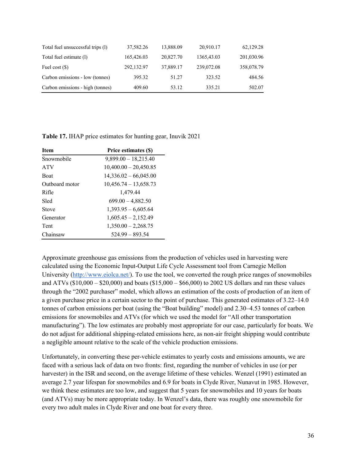| Total fuel unsuccessful trips (1) | 37,582.26  | 13,888.09 | 20,910.17  | 62,129.28  |
|-----------------------------------|------------|-----------|------------|------------|
| Total fuel estimate (1)           | 165,426.03 | 20,827.70 | 1365,43.03 | 201,030.96 |
| Fuel cost $(\$)$                  | 292,132.97 | 37,889.17 | 239,072.08 | 358,078.79 |
| Carbon emissions - low (tonnes)   | 395.32     | 51.27     | 323.52     | 484.56     |
| Carbon emissions - high (tonnes)  | 409.60     | 53.12     | 335.21     | 502.07     |

**Table 17.** IHAP price estimates for hunting gear, Inuvik 2021

| <b>Item</b>    | Price estimates (\$)    |
|----------------|-------------------------|
| Snowmobile     | $9,899.00 - 18,215.40$  |
| <b>ATV</b>     | $10,400.00 - 20,450.85$ |
| <b>Boat</b>    | $14,336.02 - 66,045.00$ |
| Outboard motor | $10,456.74 - 13,658.73$ |
| Rifle          | 1,479.44                |
| Sled           | $699.00 - 4,882.50$     |
| Stove          | $1,393.95 - 6,605.64$   |
| Generator      | $1,605.45 - 2,152.49$   |
| Tent           | $1,350.00 - 2,268.75$   |
| Chainsaw       | $524.99 - 893.54$       |

Approximate greenhouse gas emissions from the production of vehicles used in harvesting were calculated using the Economic Input-Output Life Cycle Assessment tool from Carnegie Mellon University (http://www.eiolca.net/). To use the tool, we converted the rough price ranges of snowmobiles and ATVs (\$10,000 – \$20,000) and boats (\$15,000 – \$66,000) to 2002 US dollars and ran these values through the "2002 purchaser" model, which allows an estimation of the costs of production of an item of a given purchase price in a certain sector to the point of purchase. This generated estimates of 3.22–14.0 tonnes of carbon emissions per boat (using the "Boat building" model) and 2.30–4.53 tonnes of carbon emissions for snowmobiles and ATVs (for which we used the model for "All other transportation manufacturing"). The low estimates are probably most appropriate for our case, particularly for boats. We do not adjust for additional shipping-related emissions here, as non-air freight shipping would contribute a negligible amount relative to the scale of the vehicle production emissions.

Unfortunately, in converting these per-vehicle estimates to yearly costs and emissions amounts, we are faced with a serious lack of data on two fronts: first, regarding the number of vehicles in use (or per harvester) in the ISR and second, on the average lifetime of these vehicles. Wenzel (1991) estimated an average 2.7 year lifespan for snowmobiles and 6.9 for boats in Clyde River, Nunavut in 1985. However, we think these estimates are too low, and suggest that 5 years for snowmobiles and 10 years for boats (and ATVs) may be more appropriate today. In Wenzel's data, there was roughly one snowmobile for every two adult males in Clyde River and one boat for every three.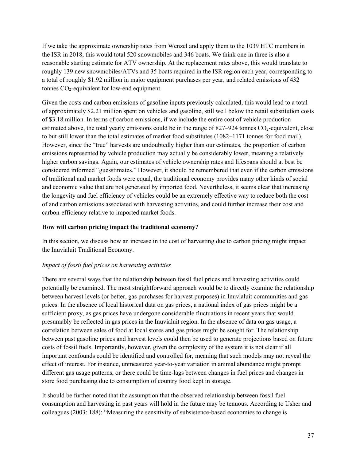If we take the approximate ownership rates from Wenzel and apply them to the 1039 HTC members in the ISR in 2018, this would total 520 snowmobiles and 346 boats. We think one in three is also a reasonable starting estimate for ATV ownership. At the replacement rates above, this would translate to roughly 139 new snowmobiles/ATVs and 35 boats required in the ISR region each year, corresponding to a total of roughly \$1.92 million in major equipment purchases per year, and related emissions of 432 tonnes  $CO_2$ -equivalent for low-end equipment.

Given the costs and carbon emissions of gasoline inputs previously calculated, this would lead to a total of approximately \$2.21 million spent on vehicles and gasoline, still well below the retail substitution costs of \$3.18 million. In terms of carbon emissions, if we include the entire cost of vehicle production estimated above, the total yearly emissions could be in the range of  $827–924$  tonnes  $CO<sub>2</sub>$ -equivalent, close to but still lower than the total estimates of market food substitutes (1082–1171 tonnes for food mail). However, since the "true" harvests are undoubtedly higher than our estimates, the proportion of carbon emissions represented by vehicle production may actually be considerably lower, meaning a relatively higher carbon savings. Again, our estimates of vehicle ownership rates and lifespans should at best be considered informed "guesstimates." However, it should be remembered that even if the carbon emissions of traditional and market foods were equal, the traditional economy provides many other kinds of social and economic value that are not generated by imported food. Nevertheless, it seems clear that increasing the longevity and fuel efficiency of vehicles could be an extremely effective way to reduce both the cost of and carbon emissions associated with harvesting activities, and could further increase their cost and carbon-efficiency relative to imported market foods.

### **How will carbon pricing impact the traditional economy?**

In this section, we discuss how an increase in the cost of harvesting due to carbon pricing might impact the Inuvialuit Traditional Economy.

### *Impact of fossil fuel prices on harvesting activities*

There are several ways that the relationship between fossil fuel prices and harvesting activities could potentially be examined. The most straightforward approach would be to directly examine the relationship between harvest levels (or better, gas purchases for harvest purposes) in Inuvialuit communities and gas prices. In the absence of local historical data on gas prices, a national index of gas prices might be a sufficient proxy, as gas prices have undergone considerable fluctuations in recent years that would presumably be reflected in gas prices in the Inuvialuit region. In the absence of data on gas usage, a correlation between sales of food at local stores and gas prices might be sought for. The relationship between past gasoline prices and harvest levels could then be used to generate projections based on future costs of fossil fuels. Importantly, however, given the complexity of the system it is not clear if all important confounds could be identified and controlled for, meaning that such models may not reveal the effect of interest. For instance, unmeasured year-to-year variation in animal abundance might prompt different gas usage patterns, or there could be time-lags between changes in fuel prices and changes in store food purchasing due to consumption of country food kept in storage.

It should be further noted that the assumption that the observed relationship between fossil fuel consumption and harvesting in past years will hold in the future may be tenuous. According to Usher and colleagues (2003: 188): "Measuring the sensitivity of subsistence-based economies to change is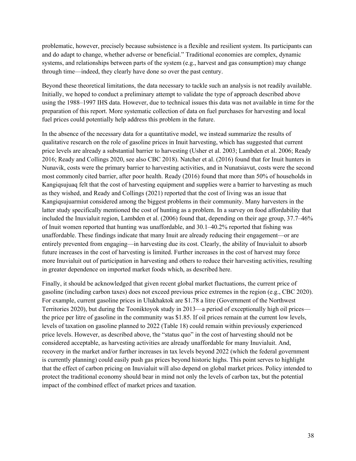problematic, however, precisely because subsistence is a flexible and resilient system. Its participants can and do adapt to change, whether adverse or beneficial." Traditional economies are complex, dynamic systems, and relationships between parts of the system (e.g., harvest and gas consumption) may change through time—indeed, they clearly have done so over the past century.

Beyond these theoretical limitations, the data necessary to tackle such an analysis is not readily available. Initially, we hoped to conduct a preliminary attempt to validate the type of approach described above using the 1988–1997 IHS data. However, due to technical issues this data was not available in time for the preparation of this report. More systematic collection of data on fuel purchases for harvesting and local fuel prices could potentially help address this problem in the future.

In the absence of the necessary data for a quantitative model, we instead summarize the results of qualitative research on the role of gasoline prices in Inuit harvesting, which has suggested that current price levels are already a substantial barrier to harvesting (Usher et al. 2003; Lambden et al. 2006; Ready 2016; Ready and Collings 2020, see also CBC 2018). Natcher et al. (2016) found that for Inuit hunters in Nunavik, costs were the primary barrier to harvesting activities, and in Nunatsiavut, costs were the second most commonly cited barrier, after poor health. Ready (2016) found that more than 50% of households in Kangiqsujuaq felt that the cost of harvesting equipment and supplies were a barrier to harvesting as much as they wished, and Ready and Collings (2021) reported that the cost of living was an issue that Kangiqsujuarmiut considered among the biggest problems in their community. Many harvesters in the latter study specifically mentioned the cost of hunting as a problem. In a survey on food affordability that included the Inuvialuit region, Lambden et al. (2006) found that, depending on their age group, 37.7–46% of Inuit women reported that hunting was unaffordable, and 30.1–40.2% reported that fishing was unaffordable. These findings indicate that many Inuit are already reducing their engagement—or are entirely prevented from engaging—in harvesting due its cost. Clearly, the ability of Inuvialuit to absorb future increases in the cost of harvesting is limited. Further increases in the cost of harvest may force more Inuvialuit out of participation in harvesting and others to reduce their harvesting activities, resulting in greater dependence on imported market foods which, as described here.

Finally, it should be acknowledged that given recent global market fluctuations, the current price of gasoline (including carbon taxes) does not exceed previous price extremes in the region (e.g., CBC 2020). For example, current gasoline prices in Ulukhaktok are \$1.78 a litre (Government of the Northwest Territories 2020), but during the Tooniktoyok study in 2013—a period of exceptionally high oil prices the price per litre of gasoline in the community was \$1.85. If oil prices remain at the current low levels, levels of taxation on gasoline planned to 2022 (Table 18) could remain within previously experienced price levels. However, as described above, the "status quo" in the cost of harvesting should not be considered acceptable, as harvesting activities are already unaffordable for many Inuvialuit. And, recovery in the market and/or further increases in tax levels beyond 2022 (which the federal government is currently planning) could easily push gas prices beyond historic highs. This point serves to highlight that the effect of carbon pricing on Inuvialuit will also depend on global market prices. Policy intended to protect the traditional economy should bear in mind not only the levels of carbon tax, but the potential impact of the combined effect of market prices and taxation.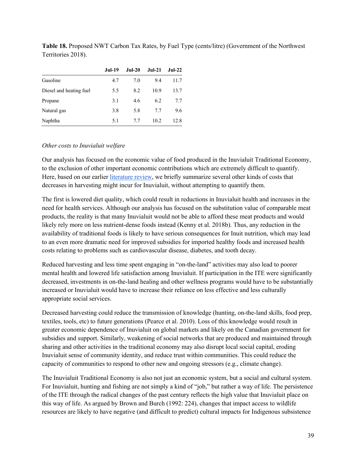|                         | Jul-19 | <b>Jul-20</b> | Jul-21 | $Jul-22$ |
|-------------------------|--------|---------------|--------|----------|
| Gasoline                | 4.7    | 7.0           | 9.4    | 11.7     |
| Diesel and heating fuel | 5.5    | 8.2           | 10.9   | 13.7     |
| Propane                 | 3.1    | 4.6           | 6.2    | 7.7      |
| Natural gas             | 3.8    | 5.8           | 7.7    | 9.6      |
| Naphtha                 | 5.1    | 7.7           | 10.2.  | 12.8     |

**Table 18.** Proposed NWT Carbon Tax Rates, by Fuel Type (cents/litre) (Government of the Northwest Territories 2018).

### *Other costs to Inuvialuit welfare*

Our analysis has focused on the economic value of food produced in the Inuvialuit Traditional Economy, to the exclusion of other important economic contributions which are extremely difficult to quantify. Here, based on our earlier literature review, we briefly summarize several other kinds of costs that decreases in harvesting might incur for Inuvialuit, without attempting to quantify them.

The first is lowered diet quality, which could result in reductions in Inuvialuit health and increases in the need for health services. Although our analysis has focused on the substitution value of comparable meat products, the reality is that many Inuvialuit would not be able to afford these meat products and would likely rely more on less nutrient-dense foods instead (Kenny et al. 2018b). Thus, any reduction in the availability of traditional foods is likely to have serious consequences for Inuit nutrition, which may lead to an even more dramatic need for improved subsidies for imported healthy foods and increased health costs relating to problems such as cardiovascular disease, diabetes, and tooth decay.

Reduced harvesting and less time spent engaging in "on-the-land" activities may also lead to poorer mental health and lowered life satisfaction among Inuvialuit. If participation in the ITE were significantly decreased, investments in on-the-land healing and other wellness programs would have to be substantially increased or Inuvialuit would have to increase their reliance on less effective and less culturally appropriate social services.

Decreased harvesting could reduce the transmission of knowledge (hunting, on-the-land skills, food prep, textiles, tools, etc) to future generations (Pearce et al. 2010). Loss of this knowledge would result in greater economic dependence of Inuvialuit on global markets and likely on the Canadian government for subsidies and support. Similarly, weakening of social networks that are produced and maintained through sharing and other activities in the traditional economy may also disrupt local social capital, eroding Inuvialuit sense of community identity, and reduce trust within communities. This could reduce the capacity of communities to respond to other new and ongoing stressors (e.g., climate change).

The Inuvialuit Traditional Economy is also not just an economic system, but a social and cultural system. For Inuvialuit, hunting and fishing are not simply a kind of "job," but rather a way of life. The persistence of the ITE through the radical changes of the past century reflects the high value that Inuvialuit place on this way of life. As argued by Brown and Burch (1992: 224), changes that impact access to wildlife resources are likely to have negative (and difficult to predict) cultural impacts for Indigenous subsistence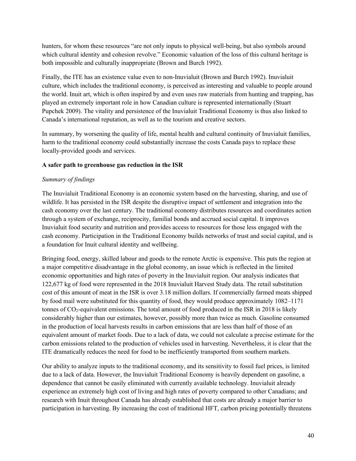hunters, for whom these resources "are not only inputs to physical well-being, but also symbols around which cultural identity and cohesion revolve." Economic valuation of the loss of this cultural heritage is both impossible and culturally inappropriate (Brown and Burch 1992).

Finally, the ITE has an existence value even to non-Inuvialuit (Brown and Burch 1992). Inuvialuit culture, which includes the traditional economy, is perceived as interesting and valuable to people around the world. Inuit art, which is often inspired by and even uses raw materials from hunting and trapping, has played an extremely important role in how Canadian culture is represented internationally (Stuart Pupchek 2009). The vitality and persistence of the Inuvialuit Traditional Economy is thus also linked to Canada's international reputation, as well as to the tourism and creative sectors.

In summary, by worsening the quality of life, mental health and cultural continuity of Inuvialuit families, harm to the traditional economy could substantially increase the costs Canada pays to replace these locally-provided goods and services.

## **A safer path to greenhouse gas reduction in the ISR**

## *Summary of findings*

The Inuvialuit Traditional Economy is an economic system based on the harvesting, sharing, and use of wildlife. It has persisted in the ISR despite the disruptive impact of settlement and integration into the cash economy over the last century. The traditional economy distributes resources and coordinates action through a system of exchange, reciprocity, familial bonds and accrued social capital. It improves Inuvialuit food security and nutrition and provides access to resources for those less engaged with the cash economy. Participation in the Traditional Economy builds networks of trust and social capital, and is a foundation for Inuit cultural identity and wellbeing.

Bringing food, energy, skilled labour and goods to the remote Arctic is expensive. This puts the region at a major competitive disadvantage in the global economy, an issue which is reflected in the limited economic opportunities and high rates of poverty in the Inuvialuit region. Our analysis indicates that 122,677 kg of food were represented in the 2018 Inuvialuit Harvest Study data. The retail substitution cost of this amount of meat in the ISR is over 3.18 million dollars. If commercially farmed meats shipped by food mail were substituted for this quantity of food, they would produce approximately 1082–1171 tonnes of  $CO<sub>2</sub>$ -equivalent emissions. The total amount of food produced in the ISR in 2018 is likely considerably higher than our estimates, however, possibly more than twice as much. Gasoline consumed in the production of local harvests results in carbon emissions that are less than half of those of an equivalent amount of market foods. Due to a lack of data, we could not calculate a precise estimate for the carbon emissions related to the production of vehicles used in harvesting. Nevertheless, it is clear that the ITE dramatically reduces the need for food to be inefficiently transported from southern markets.

Our ability to analyze inputs to the traditional economy, and its sensitivity to fossil fuel prices, is limited due to a lack of data. However, the Inuvialuit Traditional Economy is heavily dependent on gasoline, a dependence that cannot be easily eliminated with currently available technology. Inuvialuit already experience an extremely high cost of living and high rates of poverty compared to other Canadians; and research with Inuit throughout Canada has already established that costs are already a major barrier to participation in harvesting. By increasing the cost of traditional HFT, carbon pricing potentially threatens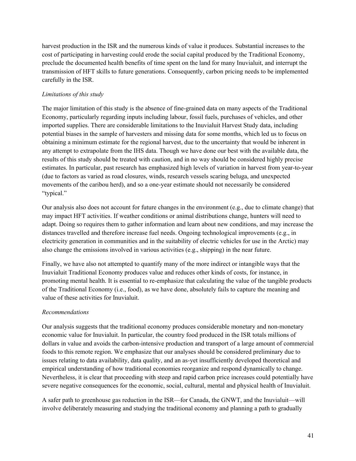harvest production in the ISR and the numerous kinds of value it produces. Substantial increases to the cost of participating in harvesting could erode the social capital produced by the Traditional Economy, preclude the documented health benefits of time spent on the land for many Inuvialuit, and interrupt the transmission of HFT skills to future generations. Consequently, carbon pricing needs to be implemented carefully in the ISR.

### *Limitations of this study*

The major limitation of this study is the absence of fine-grained data on many aspects of the Traditional Economy, particularly regarding inputs including labour, fossil fuels, purchases of vehicles, and other imported supplies. There are considerable limitations to the Inuvialuit Harvest Study data, including potential biases in the sample of harvesters and missing data for some months, which led us to focus on obtaining a minimum estimate for the regional harvest, due to the uncertainty that would be inherent in any attempt to extrapolate from the IHS data. Though we have done our best with the available data, the results of this study should be treated with caution, and in no way should be considered highly precise estimates. In particular, past research has emphasized high levels of variation in harvest from year-to-year (due to factors as varied as road closures, winds, research vessels scaring beluga, and unexpected movements of the caribou herd), and so a one-year estimate should not necessarily be considered "typical."

Our analysis also does not account for future changes in the environment (e.g., due to climate change) that may impact HFT activities. If weather conditions or animal distributions change, hunters will need to adapt. Doing so requires them to gather information and learn about new conditions, and may increase the distances travelled and therefore increase fuel needs. Ongoing technological improvements (e.g., in electricity generation in communities and in the suitability of electric vehicles for use in the Arctic) may also change the emissions involved in various activities (e.g., shipping) in the near future.

Finally, we have also not attempted to quantify many of the more indirect or intangible ways that the Inuvialuit Traditional Economy produces value and reduces other kinds of costs, for instance, in promoting mental health. It is essential to re-emphasize that calculating the value of the tangible products of the Traditional Economy (i.e., food), as we have done, absolutely fails to capture the meaning and value of these activities for Inuvialuit.

### *Recommendations*

Our analysis suggests that the traditional economy produces considerable monetary and non-monetary economic value for Inuvialuit. In particular, the country food produced in the ISR totals millions of dollars in value and avoids the carbon-intensive production and transport of a large amount of commercial foods to this remote region. We emphasize that our analyses should be considered preliminary due to issues relating to data availability, data quality, and an as-yet insufficiently developed theoretical and empirical understanding of how traditional economies reorganize and respond dynamically to change. Nevertheless, it is clear that proceeding with steep and rapid carbon price increases could potentially have severe negative consequences for the economic, social, cultural, mental and physical health of Inuvialuit.

A safer path to greenhouse gas reduction in the ISR—for Canada, the GNWT, and the Inuvialuit—will involve deliberately measuring and studying the traditional economy and planning a path to gradually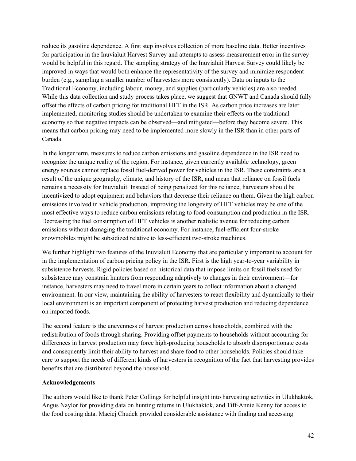reduce its gasoline dependence. A first step involves collection of more baseline data. Better incentives for participation in the Inuvialuit Harvest Survey and attempts to assess measurement error in the survey would be helpful in this regard. The sampling strategy of the Inuvialuit Harvest Survey could likely be improved in ways that would both enhance the representativity of the survey and minimize respondent burden (e.g., sampling a smaller number of harvesters more consistently). Data on inputs to the Traditional Economy, including labour, money, and supplies (particularly vehicles) are also needed. While this data collection and study process takes place, we suggest that GNWT and Canada should fully offset the effects of carbon pricing for traditional HFT in the ISR. As carbon price increases are later implemented, monitoring studies should be undertaken to examine their effects on the traditional economy so that negative impacts can be observed—and mitigated—before they become severe. This means that carbon pricing may need to be implemented more slowly in the ISR than in other parts of Canada.

In the longer term, measures to reduce carbon emissions and gasoline dependence in the ISR need to recognize the unique reality of the region. For instance, given currently available technology, green energy sources cannot replace fossil fuel-derived power for vehicles in the ISR. These constraints are a result of the unique geography, climate, and history of the ISR, and mean that reliance on fossil fuels remains a necessity for Inuvialuit. Instead of being penalized for this reliance, harvesters should be incentivized to adopt equipment and behaviors that decrease their reliance on them. Given the high carbon emissions involved in vehicle production, improving the longevity of HFT vehicles may be one of the most effective ways to reduce carbon emissions relating to food-consumption and production in the ISR. Decreasing the fuel consumption of HFT vehicles is another realistic avenue for reducing carbon emissions without damaging the traditional economy. For instance, fuel-efficient four-stroke snowmobiles might be subsidized relative to less-efficient two-stroke machines.

We further highlight two features of the Inuvialuit Economy that are particularly important to account for in the implementation of carbon pricing policy in the ISR. First is the high year-to-year variability in subsistence harvests. Rigid policies based on historical data that impose limits on fossil fuels used for subsistence may constrain hunters from responding adaptively to changes in their environment—for instance, harvesters may need to travel more in certain years to collect information about a changed environment. In our view, maintaining the ability of harvesters to react flexibility and dynamically to their local environment is an important component of protecting harvest production and reducing dependence on imported foods.

The second feature is the unevenness of harvest production across households, combined with the redistribution of foods through sharing. Providing offset payments to households without accounting for differences in harvest production may force high-producing households to absorb disproportionate costs and consequently limit their ability to harvest and share food to other households. Policies should take care to support the needs of different kinds of harvesters in recognition of the fact that harvesting provides benefits that are distributed beyond the household.

#### **Acknowledgements**

The authors would like to thank Peter Collings for helpful insight into harvesting activities in Ulukhaktok, Angus Naylor for providing data on hunting returns in Ulukhaktok, and Tiff-Annie Kenny for access to the food costing data. Maciej Chudek provided considerable assistance with finding and accessing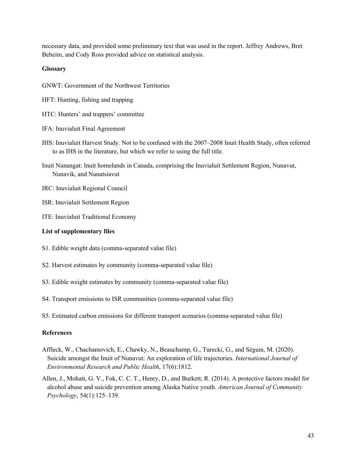necessary data, and provided some preliminary text that was used in the report. Jeffrey Andrews, Bret Beheim, and Cody Ross provided advice on statistical analysis.

### **Glossary**

GNWT: Government of the Northwest Territories

- HFT: Hunting, fishing and trapping
- HTC: Hunters' and trappers' committee
- IFA: Inuvialuit Final Agreement
- IHS: Inuvialuit Harvest Study. Not to be confused with the 2007–2008 Inuit Health Study, often referred to as IHS in the literature, but which we refer to using the full title.
- Inuit Nunangat: Inuit homelands in Canada, comprising the Inuvialuit Settlement Region, Nunavut, Nunavik, and Nunatsiavut
- IRC: Inuvialuit Regional Council
- ISR: Inuvialuit Settlement Region
- ITE: Inuvialuit Traditional Economy

### **List of supplementary files**

- S1. Edible weight data (comma-separated value file)
- S2. Harvest estimates by community (comma-separated value file)
- S3. Edible weight estimates by community (comma-separated value file)
- S4. Transport emissions to ISR communities (comma-separated value file)
- S5. Estimated carbon emissions for different transport scenarios (comma-separated value file)

### **References**

- Affleck, W., Chachamovich, E., Chawky, N., Beauchamp, G., Turecki, G., and Séguin, M. (2020). Suicide amongst the Inuit of Nunavut: An exploration of life trajectories. *International Journal of Environmental Research and Public Health*, 17(6):1812.
- Allen, J., Mohatt, G. V., Fok, C. C. T., Henry, D., and Burkett, R. (2014). A protective factors model for alcohol abuse and suicide prevention among Alaska Native youth. *American Journal of Community Psychology*, 54(1):125–139.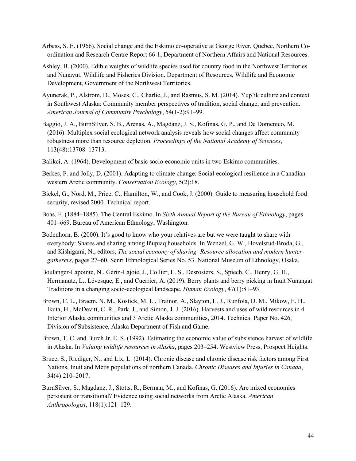- Arbess, S. E. (1966). Social change and the Eskimo co-operative at George River, Quebec. Northern Coordination and Research Centre Report 66-1, Department of Northern Affairs and National Resources.
- Ashley, B. (2000). Edible weights of wildlife species used for country food in the Northwest Territories and Nunavut. Wildlife and Fisheries Division. Department of Resources, Wildlife and Economic Development, Government of the Northwest Territories.
- Ayunerak, P., Alstrom, D., Moses, C., Charlie, J., and Rasmus, S. M. (2014). Yup'ik culture and context in Southwest Alaska: Community member perspectives of tradition, social change, and prevention. *American Journal of Community Psychology*, 54(1-2):91–99.
- Baggio, J. A., BurnSilver, S. B., Arenas, A., Magdanz, J. S., Kofinas, G. P., and De Domenico, M. (2016). Multiplex social ecological network analysis reveals how social changes affect community robustness more than resource depletion. *Proceedings of the National Academy of Sciences*, 113(48):13708–13713.
- Balikci, A. (1964). Development of basic socio-economic units in two Eskimo communities.
- Berkes, F. and Jolly, D. (2001). Adapting to climate change: Social-ecological resilience in a Canadian western Arctic community. *Conservation Ecology*, 5(2):18.
- Bickel, G., Nord, M., Price, C., Hamilton, W., and Cook, J. (2000). Guide to measuring household food security, revised 2000. Technical report.
- Boas, F. (1884–1885). The Central Eskimo. In *Sixth Annual Report of the Bureau of Ethnology*, pages 401–669. Bureau of American Ethnology, Washington.
- Bodenhorn, B. (2000). It's good to know who your relatives are but we were taught to share with everybody: Shares and sharing among Iñupiaq households. In Wenzel, G. W., Hovelsrud-Broda, G., and Kishigami, N., editors, *The social economy of sharing: Resource allocation and modern huntergatherers*, pages 27–60. Senri Ethnological Series No. 53. National Museum of Ethnology, Osaka.
- Boulanger-Lapointe, N., Gérin-Lajoie, J., Collier, L. S., Desrosiers, S., Spiech, C., Henry, G. H., Hermanutz, L., Lévesque, E., and Cuerrier, A. (2019). Berry plants and berry picking in Inuit Nunangat: Traditions in a changing socio-ecological landscape. *Human Ecology*, 47(1):81–93.
- Brown, C. L., Braem, N. M., Kostick, M. L., Trainor, A., Slayton, L. J., Runfola, D. M., Mikow, E. H., Ikuta, H., McDevitt, C. R., Park, J., and Simon, J. J. (2016). Harvests and uses of wild resources in 4 Interior Alaska communities and 3 Arctic Alaska communities, 2014. Technical Paper No. 426, Division of Subsistence, Alaska Department of Fish and Game.
- Brown, T. C. and Burch Jr, E. S. (1992). Estimating the economic value of subsistence harvest of wildlife in Alaska. In *Valuing wildlife resources in Alaska*, pages 203–254. Westview Press, Prospect Heights.
- Bruce, S., Riediger, N., and Lix, L. (2014). Chronic disease and chronic disease risk factors among First Nations, Inuit and Métis populations of northern Canada. *Chronic Diseases and Injuries in Canada*, 34(4):210–2017.
- BurnSilver, S., Magdanz, J., Stotts, R., Berman, M., and Kofinas, G. (2016). Are mixed economies persistent or transitional? Evidence using social networks from Arctic Alaska. *American Anthropologist*, 118(1):121–129.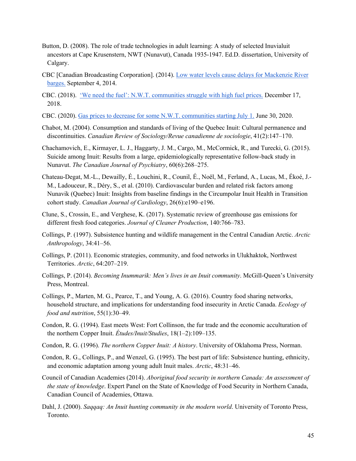- Button, D. (2008). The role of trade technologies in adult learning: A study of selected Inuvialuit ancestors at Cape Krusenstern, NWT (Nunavut), Canada 1935-1947. Ed.D. dissertation, University of Calgary.
- CBC [Canadian Broadcasting Corporation]. (2014). Low water levels cause delays for Mackenzie River barges. September 4, 2014.
- CBC. (2018). 'We need the fuel': N.W.T. communities struggle with high fuel prices. December 17, 2018.
- CBC. (2020). Gas prices to decrease for some N.W.T. communities starting July 1. June 30, 2020.
- Chabot, M. (2004). Consumption and standards of living of the Quebec Inuit: Cultural permanence and discontinuities. *Canadian Review of Sociology/Revue canadienne de sociologie*, 41(2):147–170.
- Chachamovich, E., Kirmayer, L. J., Haggarty, J. M., Cargo, M., McCormick, R., and Turecki, G. (2015). Suicide among Inuit: Results from a large, epidemiologically representative follow-back study in Nunavut. *The Canadian Journal of Psychiatry*, 60(6):268–275.
- Chateau-Degat, M.-L., Dewailly, É., Louchini, R., Counil, É., Noël, M., Ferland, A., Lucas, M., Ékoé, J.- M., Ladouceur, R., Déry, S., et al. (2010). Cardiovascular burden and related risk factors among Nunavik (Quebec) Inuit: Insights from baseline findings in the Circumpolar Inuit Health in Transition cohort study. *Canadian Journal of Cardiology*, 26(6):e190–e196.
- Clune, S., Crossin, E., and Verghese, K. (2017). Systematic review of greenhouse gas emissions for different fresh food categories. *Journal of Cleaner Production*, 140:766–783.
- Collings, P. (1997). Subsistence hunting and wildlife management in the Central Canadian Arctic. *Arctic Anthropology*, 34:41–56.
- Collings, P. (2011). Economic strategies, community, and food networks in Ulukhaktok, Northwest Territories. *Arctic*, 64:207–219.
- Collings, P. (2014). *Becoming Inummarik: Men's lives in an Inuit community*. McGill-Queen's University Press, Montreal.
- Collings, P., Marten, M. G., Pearce, T., and Young, A. G. (2016). Country food sharing networks, household structure, and implications for understanding food insecurity in Arctic Canada. *Ecology of food and nutrition*, 55(1):30–49.
- Condon, R. G. (1994). East meets West: Fort Collinson, the fur trade and the economic acculturation of the northern Copper Inuit. *Études/Inuit/Studies*, 18(1–2):109–135.
- Condon, R. G. (1996). *The northern Copper Inuit: A history*. University of Oklahoma Press, Norman.
- Condon, R. G., Collings, P., and Wenzel, G. (1995). The best part of life: Subsistence hunting, ethnicity, and economic adaptation among young adult Inuit males. *Arctic*, 48:31–46.
- Council of Canadian Academies (2014). *Aboriginal food security in northern Canada: An assessment of the state of knowledge*. Expert Panel on the State of Knowledge of Food Security in Northern Canada, Canadian Council of Academies, Ottawa.
- Dahl, J. (2000). *Saqqaq: An Inuit hunting community in the modern world*. University of Toronto Press, Toronto.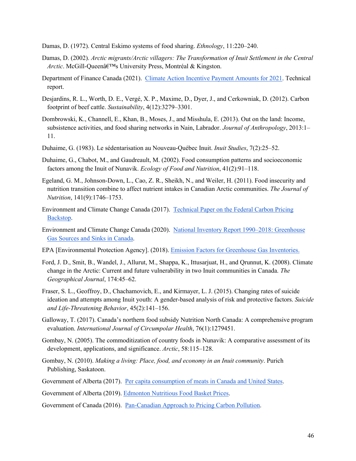- Damas, D. (1972). Central Eskimo systems of food sharing. *Ethnology*, 11:220–240.
- Damas, D. (2002). *Arctic migrants/Arctic villagers: The Transformation of Inuit Settlement in the Central Arctic*. McGill-Queenâ€<sup>™</sup>s University Press, Montréal & Kingston.
- Department of Finance Canada (2021). Climate Action Incentive Payment Amounts for 2021. Technical report.
- Desjardins, R. L., Worth, D. E., Vergé, X. P., Maxime, D., Dyer, J., and Cerkowniak, D. (2012). Carbon footprint of beef cattle. *Sustainability*, 4(12):3279–3301.
- Dombrowski, K., Channell, E., Khan, B., Moses, J., and Misshula, E. (2013). Out on the land: Income, subsistence activities, and food sharing networks in Nain, Labrador. *Journal of Anthropology*, 2013:1– 11.
- Duhaime, G. (1983). Le sédentarisation au Nouveau-Québec Inuit. *Inuit Studies*, 7(2):25–52.
- Duhaime, G., Chabot, M., and Gaudreault, M. (2002). Food consumption patterns and socioeconomic factors among the Inuit of Nunavik. *Ecology of Food and Nutrition*, 41(2):91–118.
- Egeland, G. M., Johnson-Down, L., Cao, Z. R., Sheikh, N., and Weiler, H. (2011). Food insecurity and nutrition transition combine to affect nutrient intakes in Canadian Arctic communities. *The Journal of Nutrition*, 141(9):1746–1753.
- Environment and Climate Change Canada (2017). Technical Paper on the Federal Carbon Pricing Backstop.
- Environment and Climate Change Canada (2020). National Inventory Report 1990–2018: Greenhouse Gas Sources and Sinks in Canada.
- EPA [Environmental Protection Agency]. (2018). Emission Factors for Greenhouse Gas Inventories.
- Ford, J. D., Smit, B., Wandel, J., Allurut, M., Shappa, K., Ittusarjuat, H., and Qrunnut, K. (2008). Climate change in the Arctic: Current and future vulnerability in two Inuit communities in Canada. *The Geographical Journal*, 174:45–62.
- Fraser, S. L., Geoffroy, D., Chachamovich, E., and Kirmayer, L. J. (2015). Changing rates of suicide ideation and attempts among Inuit youth: A gender-based analysis of risk and protective factors. *Suicide and Life-Threatening Behavior*, 45(2):141–156.
- Galloway, T. (2017). Canada's northern food subsidy Nutrition North Canada: A comprehensive program evaluation. *International Journal of Circumpolar Health*, 76(1):1279451.
- Gombay, N. (2005). The commoditization of country foods in Nunavik: A comparative assessment of its development, applications, and significance. *Arctic*, 58:115–128.
- Gombay, N. (2010). *Making a living: Place, food, and economy in an Inuit community*. Purich Publishing, Saskatoon.
- Government of Alberta (2017). Per capita consumption of meats in Canada and United States.

Government of Alberta (2019). Edmonton Nutritious Food Basket Prices.

Government of Canada (2016). Pan-Canadian Approach to Pricing Carbon Pollution.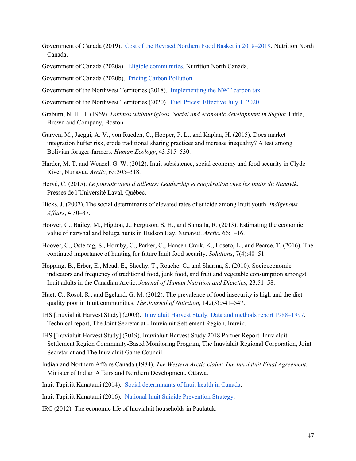Government of Canada (2019). Cost of the Revised Northern Food Basket in 2018–2019. Nutrition North Canada.

Government of Canada (2020a). Eligible communities. Nutrition North Canada.

Government of Canada (2020b). Pricing Carbon Pollution.

Government of the Northwest Territories (2018). Implementing the NWT carbon tax.

- Government of the Northwest Territories (2020). Fuel Prices: Effective July 1, 2020.
- Graburn, N. H. H. (1969). *Eskimos without igloos. Social and economic development in Sugluk*. Little, Brown and Company, Boston.
- Gurven, M., Jaeggi, A. V., von Rueden, C., Hooper, P. L., and Kaplan, H. (2015). Does market integration buffer risk, erode traditional sharing practices and increase inequality? A test among Bolivian forager-farmers. *Human Ecology*, 43:515–530.
- Harder, M. T. and Wenzel, G. W. (2012). Inuit subsistence, social economy and food security in Clyde River, Nunavut. *Arctic*, 65:305–318.
- Hervé, C. (2015). *Le pouvoir vient d'ailleurs: Leadership et coopération chez les Inuits du Nunavik*. Presses de l'Université Laval, Québec.
- Hicks, J. (2007). The social determinants of elevated rates of suicide among Inuit youth. *Indigenous Affairs*, 4:30–37.
- Hoover, C., Bailey, M., Higdon, J., Ferguson, S. H., and Sumaila, R. (2013). Estimating the economic value of narwhal and beluga hunts in Hudson Bay, Nunavut. *Arctic*, 66:1–16.
- Hoover, C., Ostertag, S., Hornby, C., Parker, C., Hansen-Craik, K., Loseto, L., and Pearce, T. (2016). The continued importance of hunting for future Inuit food security. *Solutions*, 7(4):40–51.
- Hopping, B., Erber, E., Mead, E., Sheehy, T., Roache, C., and Sharma, S. (2010). Socioeconomic indicators and frequency of traditional food, junk food, and fruit and vegetable consumption amongst Inuit adults in the Canadian Arctic. *Journal of Human Nutrition and Dietetics*, 23:51–58.
- Huet, C., Rosol, R., and Egeland, G. M. (2012). The prevalence of food insecurity is high and the diet quality poor in Inuit communities. *The Journal of Nutrition*, 142(3):541–547.
- IHS [Inuvialuit Harvest Study] (2003). Inuvialuit Harvest Study. Data and methods report 1988–1997. Technical report, The Joint Secretariat - Inuvialuit Settlement Region, Inuvik.
- IHS [Inuvialuit Harvest Study] (2019). Inuvialuit Harvest Study 2018 Partner Report. Inuvialuit Settlement Region Community-Based Monitoring Program, The Inuvialuit Regional Corporation, Joint Secretariat and The Inuvialuit Game Council.
- Indian and Northern Affairs Canada (1984). *The Western Arctic claim: The Inuvialuit Final Agreement*. Minister of Indian Affairs and Northern Development, Ottawa.
- Inuit Tapiriit Kanatami (2014). Social determinants of Inuit health in Canada.

Inuit Tapiriit Kanatami (2016). National Inuit Suicide Prevention Strategy.

IRC (2012). The economic life of Inuvialuit households in Paulatuk.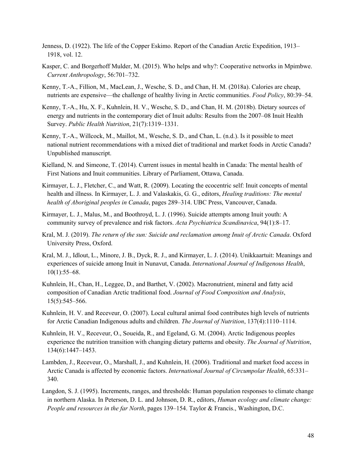- Jenness, D. (1922). The life of the Copper Eskimo. Report of the Canadian Arctic Expedition, 1913– 1918, vol. 12.
- Kasper, C. and Borgerhoff Mulder, M. (2015). Who helps and why?: Cooperative networks in Mpimbwe. *Current Anthropology*, 56:701–732.
- Kenny, T.-A., Fillion, M., MacLean, J., Wesche, S. D., and Chan, H. M. (2018a). Calories are cheap, nutrients are expensive—the challenge of healthy living in Arctic communities. *Food Policy*, 80:39–54.
- Kenny, T.-A., Hu, X. F., Kuhnlein, H. V., Wesche, S. D., and Chan, H. M. (2018b). Dietary sources of energy and nutrients in the contemporary diet of Inuit adults: Results from the 2007–08 Inuit Health Survey. *Public Health Nutrition*, 21(7):1319–1331.
- Kenny, T.-A., Willcock, M., Maillot, M., Wesche, S. D., and Chan, L. (n.d.). Is it possible to meet national nutrient recommendations with a mixed diet of traditional and market foods in Arctic Canada? Unpublished manuscript.
- Kielland, N. and Simeone, T. (2014). Current issues in mental health in Canada: The mental health of First Nations and Inuit communities. Library of Parliament, Ottawa, Canada.
- Kirmayer, L. J., Fletcher, C., and Watt, R. (2009). Locating the ecocentric self: Inuit concepts of mental health and illness. In Kirmayer, L. J. and Valaskakis, G. G., editors, *Healing traditions: The mental health of Aboriginal peoples in Canada*, pages 289–314. UBC Press, Vancouver, Canada.
- Kirmayer, L. J., Malus, M., and Boothroyd, L. J. (1996). Suicide attempts among Inuit youth: A community survey of prevalence and risk factors. *Acta Psychiatrica Scandinavica*, 94(1):8–17.
- Kral, M. J. (2019). *The return of the sun: Suicide and reclamation among Inuit of Arctic Canada*. Oxford University Press, Oxford.
- Kral, M. J., Idlout, L., Minore, J. B., Dyck, R. J., and Kirmayer, L. J. (2014). Unikkaartuit: Meanings and experiences of suicide among Inuit in Nunavut, Canada. *International Journal of Indigenous Health*, 10(1):55–68.
- Kuhnlein, H., Chan, H., Leggee, D., and Barthet, V. (2002). Macronutrient, mineral and fatty acid composition of Canadian Arctic traditional food. *Journal of Food Composition and Analysis*, 15(5):545–566.
- Kuhnlein, H. V. and Receveur, O. (2007). Local cultural animal food contributes high levels of nutrients for Arctic Canadian Indigenous adults and children. *The Journal of Nutrition*, 137(4):1110–1114.
- Kuhnlein, H. V., Receveur, O., Soueida, R., and Egeland, G. M. (2004). Arctic Indigenous peoples experience the nutrition transition with changing dietary patterns and obesity. *The Journal of Nutrition*, 134(6):1447–1453.
- Lambden, J., Receveur, O., Marshall, J., and Kuhnlein, H. (2006). Traditional and market food access in Arctic Canada is affected by economic factors. *International Journal of Circumpolar Health*, 65:331– 340.
- Langdon, S. J. (1995). Increments, ranges, and thresholds: Human population responses to climate change in northern Alaska. In Peterson, D. L. and Johnson, D. R., editors, *Human ecology and climate change: People and resources in the far North*, pages 139–154. Taylor & Francis., Washington, D.C.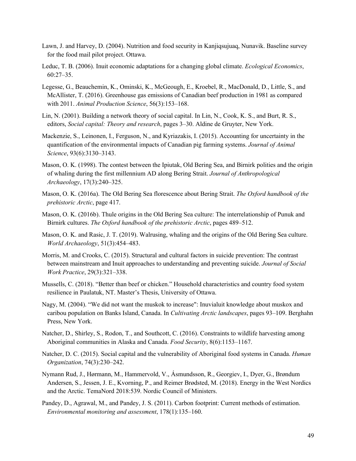- Lawn, J. and Harvey, D. (2004). Nutrition and food security in Kanjiqsujuaq, Nunavik. Baseline survey for the food mail pilot project. Ottawa.
- Leduc, T. B. (2006). Inuit economic adaptations for a changing global climate. *Ecological Economics*, 60:27–35.
- Legesse, G., Beauchemin, K., Ominski, K., McGeough, E., Kroebel, R., MacDonald, D., Little, S., and McAllister, T. (2016). Greenhouse gas emissions of Canadian beef production in 1981 as compared with 2011. *Animal Production Science*, 56(3):153–168.
- Lin, N. (2001). Building a network theory of social capital. In Lin, N., Cook, K. S., and Burt, R. S., editors, *Social capital: Theory and research*, pages 3–30. Aldine de Gruyter, New York.
- Mackenzie, S., Leinonen, I., Ferguson, N., and Kyriazakis, I. (2015). Accounting for uncertainty in the quantification of the environmental impacts of Canadian pig farming systems. *Journal of Animal Science*, 93(6):3130–3143.
- Mason, O. K. (1998). The contest between the Ipiutak, Old Bering Sea, and Birnirk polities and the origin of whaling during the first millennium AD along Bering Strait. *Journal of Anthropological Archaeology*, 17(3):240–325.
- Mason, O. K. (2016a). The Old Bering Sea florescence about Bering Strait. *The Oxford handbook of the prehistoric Arctic*, page 417.
- Mason, O. K. (2016b). Thule origins in the Old Bering Sea culture: The interrelationship of Punuk and Birnirk cultures. *The Oxford handbook of the prehistoric Arctic*, pages 489–512.
- Mason, O. K. and Rasic, J. T. (2019). Walrusing, whaling and the origins of the Old Bering Sea culture. *World Archaeology*, 51(3):454–483.
- Morris, M. and Crooks, C. (2015). Structural and cultural factors in suicide prevention: The contrast between mainstream and Inuit approaches to understanding and preventing suicide. *Journal of Social Work Practice*, 29(3):321–338.
- Mussells, C. (2018). "Better than beef or chicken." Household characteristics and country food system resilience in Paulatuk, NT. Master's Thesis, University of Ottawa.
- Nagy, M. (2004). "We did not want the muskok to increase": Inuvialuit knowledge about muskox and caribou population on Banks Island, Canada. In *Cultivating Arctic landscapes*, pages 93–109. Berghahn Press, New York.
- Natcher, D., Shirley, S., Rodon, T., and Southcott, C. (2016). Constraints to wildlife harvesting among Aboriginal communities in Alaska and Canada. *Food Security*, 8(6):1153–1167.
- Natcher, D. C. (2015). Social capital and the vulnerability of Aboriginal food systems in Canada. *Human Organization*, 74(3):230–242.
- Nymann Rud, J., Hørmann, M., Hammervold, V., Ásmundsson, R., Georgiev, I., Dyer, G., Brøndum Andersen, S., Jessen, J. E., Kvorning, P., and Reimer Brødsted, M. (2018). Energy in the West Nordics and the Arctic. TemaNord 2018:539. Nordic Council of Ministers.
- Pandey, D., Agrawal, M., and Pandey, J. S. (2011). Carbon footprint: Current methods of estimation. *Environmental monitoring and assessment*, 178(1):135–160.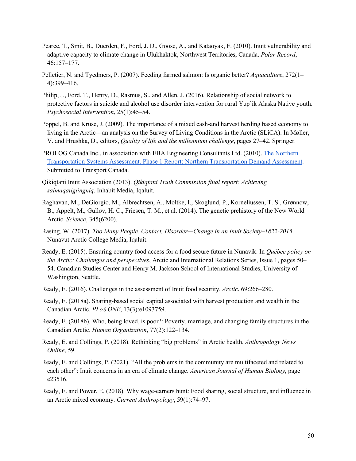- Pearce, T., Smit, B., Duerden, F., Ford, J. D., Goose, A., and Kataoyak, F. (2010). Inuit vulnerability and adaptive capacity to climate change in Ulukhaktok, Northwest Territories, Canada. *Polar Record*, 46:157–177.
- Pelletier, N. and Tyedmers, P. (2007). Feeding farmed salmon: Is organic better? *Aquaculture*, 272(1– 4):399–416.
- Philip, J., Ford, T., Henry, D., Rasmus, S., and Allen, J. (2016). Relationship of social network to protective factors in suicide and alcohol use disorder intervention for rural Yup'ik Alaska Native youth. *Psychosocial Intervention*, 25(1):45–54.
- Poppel, B. and Kruse, J. (2009). The importance of a mixed cash-and harvest herding based economy to living in the Arctic—an analysis on the Survey of Living Conditions in the Arctic (SLiCA). In Møller, V. and Hrushka, D., editors, *Quality of life and the millennium challenge*, pages 27–42. Springer.
- PROLOG Canada Inc., in association with EBA Engineering Consultants Ltd. (2010). The Northern Transportation Systems Assessment. Phase 1 Report: Northern Transportation Demand Assessment. Submitted to Transport Canada.
- Qikiqtani Inuit Association (2013). *Qikiqtani Truth Commission final report: Achieving saimaqatigiingniq*. Inhabit Media, Iqaluit.
- Raghavan, M., DeGiorgio, M., Albrechtsen, A., Moltke, I., Skoglund, P., Korneliussen, T. S., Grønnow, B., Appelt, M., Gulløv, H. C., Friesen, T. M., et al. (2014). The genetic prehistory of the New World Arctic. *Science*, 345(6200).
- Rasing, W. (2017). *Too Many People. Contact, Disorder—Change in an Inuit Society–1822-2015*. Nunavut Arctic College Media, Iqaluit.
- Ready, E. (2015). Ensuring country food access for a food secure future in Nunavik. In *Québec policy on the Arctic: Challenges and perspectives*, Arctic and International Relations Series, Issue 1, pages 50– 54. Canadian Studies Center and Henry M. Jackson School of International Studies, University of Washington, Seattle.
- Ready, E. (2016). Challenges in the assessment of Inuit food security. *Arctic*, 69:266–280.
- Ready, E. (2018a). Sharing-based social capital associated with harvest production and wealth in the Canadian Arctic. *PLoS ONE*, 13(3):e1093759.
- Ready, E. (2018b). Who, being loved, is poor?: Poverty, marriage, and changing family structures in the Canadian Arctic. *Human Organization*, 77(2):122–134.
- Ready, E. and Collings, P. (2018). Rethinking "big problems" in Arctic health. *Anthropology News Online*, 59.
- Ready, E. and Collings, P. (2021). "All the problems in the community are multifaceted and related to each other": Inuit concerns in an era of climate change. *American Journal of Human Biology*, page e23516.
- Ready, E. and Power, E. (2018). Why wage-earners hunt: Food sharing, social structure, and influence in an Arctic mixed economy. *Current Anthropology*, 59(1):74–97.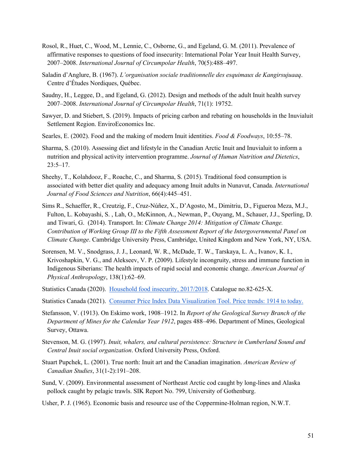- Rosol, R., Huet, C., Wood, M., Lennie, C., Osborne, G., and Egeland, G. M. (2011). Prevalence of affirmative responses to questions of food insecurity: International Polar Year Inuit Health Survey, 2007–2008. *International Journal of Circumpolar Health*, 70(5):488–497.
- Saladin d'Anglure, B. (1967). *L'organisation sociale traditionnelle des esquimaux de Kangirsujuaaq*. Centre d'Études Nordiques, Québec.
- Saudny, H., Leggee, D., and Egeland, G. (2012). Design and methods of the adult Inuit health survey 2007–2008. *International Journal of Circumpolar Health*, 71(1): 19752.
- Sawyer, D. and Stiebert, S. (2019). Impacts of pricing carbon and rebating on households in the Inuvialuit Settlement Region. EnviroEconomics Inc.
- Searles, E. (2002). Food and the making of modern Inuit identities. *Food & Foodways*, 10:55–78.
- Sharma, S. (2010). Assessing diet and lifestyle in the Canadian Arctic Inuit and Inuvialuit to inform a nutrition and physical activity intervention programme. *Journal of Human Nutrition and Dietetics*, 23:5–17.
- Sheehy, T., Kolahdooz, F., Roache, C., and Sharma, S. (2015). Traditional food consumption is associated with better diet quality and adequacy among Inuit adults in Nunavut, Canada. *International Journal of Food Sciences and Nutrition*, 66(4):445–451.
- Sims R., Schaeffer, R., Creutzig, F., Cruz-Núñez, X., D'Agosto, M., Dimitriu, D., Figueroa Meza, M.J., Fulton, L. Kobayashi, S. , Lah, O., McKinnon, A., Newman, P., Ouyang, M., Schauer, J.J., Sperling, D. and Tiwari, G. (2014). Transport. In: *Climate Change 2014: Mitigation of Climate Change. Contribution of Working Group III to the Fifth Assessment Report of the Intergovernmental Panel on Climate Change*. Cambridge University Press, Cambridge, United Kingdom and New York, NY, USA.
- Sorensen, M. V., Snodgrass, J. J., Leonard, W. R., McDade, T. W., Tarskaya, L. A., Ivanov, K. I., Krivoshapkin, V. G., and Alekseev, V. P. (2009). Lifestyle incongruity, stress and immune function in Indigenous Siberians: The health impacts of rapid social and economic change. *American Journal of Physical Anthropology*, 138(1):62–69.
- Statistics Canada (2020). Household food insecurity, 2017/2018. Catalogue no.82-625-X.
- Statistics Canada (2021). Consumer Price Index Data Visualization Tool. Price trends: 1914 to today.
- Stefansson, V. (1913). On Eskimo work, 1908–1912. In *Report of the Geological Survey Branch of the Department of Mines for the Calendar Year 1912*, pages 488–496. Department of Mines, Geological Survey, Ottawa.
- Stevenson, M. G. (1997). *Inuit, whalers, and cultural persistence: Structure in Cumberland Sound and Central Inuit social organization*. Oxford University Press, Oxford.
- Stuart Pupchek, L. (2001). True north: Inuit art and the Canadian imagination. *American Review of Canadian Studies*, 31(1-2):191–208.
- Sund, V. (2009). Environmental assessment of Northeast Arctic cod caught by long-lines and Alaska pollock caught by pelagic trawls. SIK Report No. 799, University of Gothenburg.
- Usher, P. J. (1965). Economic basis and resource use of the Coppermine-Holman region, N.W.T.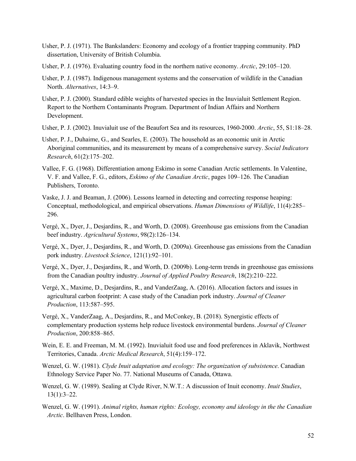- Usher, P. J. (1971). The Bankslanders: Economy and ecology of a frontier trapping community. PhD dissertation, University of British Columbia.
- Usher, P. J. (1976). Evaluating country food in the northern native economy. *Arctic*, 29:105–120.
- Usher, P. J. (1987). Indigenous management systems and the conservation of wildlife in the Canadian North. *Alternatives*, 14:3–9.
- Usher, P. J. (2000). Standard edible weights of harvested species in the Inuvialuit Settlement Region. Report to the Northern Contaminants Program. Department of Indian Affairs and Northern Development.
- Usher, P. J. (2002). Inuvialuit use of the Beaufort Sea and its resources, 1960-2000. *Arctic*, 55, S1:18–28.
- Usher, P. J., Duhaime, G., and Searles, E. (2003). The household as an economic unit in Arctic Aboriginal communities, and its measurement by means of a comprehensive survey. *Social Indicators Research*, 61(2):175–202.
- Vallee, F. G. (1968). Differentiation among Eskimo in some Canadian Arctic settlements. In Valentine, V. F. and Vallee, F. G., editors, *Eskimo of the Canadian Arctic*, pages 109–126. The Canadian Publishers, Toronto.
- Vaske, J. J. and Beaman, J. (2006). Lessons learned in detecting and correcting response heaping: Conceptual, methodological, and empirical observations. *Human Dimensions of Wildlife*, 11(4):285– 296.
- Vergé, X., Dyer, J., Desjardins, R., and Worth, D. (2008). Greenhouse gas emissions from the Canadian beef industry. *Agricultural Systems*, 98(2):126–134.
- Vergé, X., Dyer, J., Desjardins, R., and Worth, D. (2009a). Greenhouse gas emissions from the Canadian pork industry. *Livestock Science*, 121(1):92–101.
- Vergé, X., Dyer, J., Desjardins, R., and Worth, D. (2009b). Long-term trends in greenhouse gas emissions from the Canadian poultry industry. *Journal of Applied Poultry Research*, 18(2):210–222.
- Vergé, X., Maxime, D., Desjardins, R., and VanderZaag, A. (2016). Allocation factors and issues in agricultural carbon footprint: A case study of the Canadian pork industry. *Journal of Cleaner Production*, 113:587–595.
- Vergé, X., VanderZaag, A., Desjardins, R., and McConkey, B. (2018). Synergistic effects of complementary production systems help reduce livestock environmental burdens. *Journal of Cleaner Production*, 200:858–865.
- Wein, E. E. and Freeman, M. M. (1992). Inuvialuit food use and food preferences in Aklavik, Northwest Territories, Canada. *Arctic Medical Research*, 51(4):159–172.
- Wenzel, G. W. (1981). *Clyde Inuit adaptation and ecology: The organization of subsistence*. Canadian Ethnology Service Paper No. 77. National Museums of Canada, Ottawa.
- Wenzel, G. W. (1989). Sealing at Clyde River, N.W.T.: A discussion of Inuit economy. *Inuit Studies*, 13(1):3–22.
- Wenzel, G. W. (1991). *Animal rights, human rights: Ecology, economy and ideology in the the Canadian Arctic*. Bellhaven Press, London.